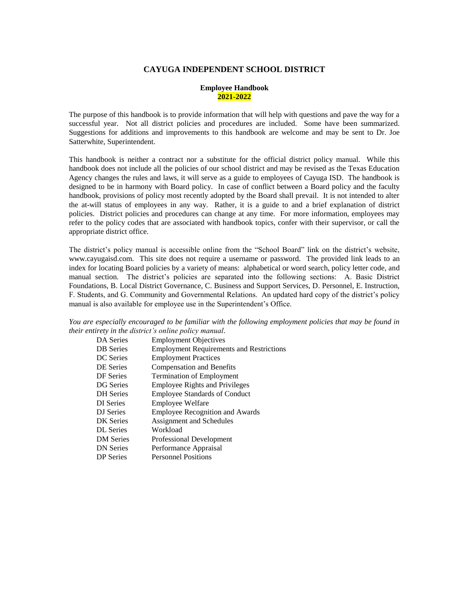### **CAYUGA INDEPENDENT SCHOOL DISTRICT**

### **Employee Handbook 2021-2022**

The purpose of this handbook is to provide information that will help with questions and pave the way for a successful year. Not all district policies and procedures are included. Some have been summarized. Suggestions for additions and improvements to this handbook are welcome and may be sent to Dr. Joe Satterwhite, Superintendent.

This handbook is neither a contract nor a substitute for the official district policy manual. While this handbook does not include all the policies of our school district and may be revised as the Texas Education Agency changes the rules and laws, it will serve as a guide to employees of Cayuga ISD. The handbook is designed to be in harmony with Board policy. In case of conflict between a Board policy and the faculty handbook, provisions of policy most recently adopted by the Board shall prevail. It is not intended to alter the at-will status of employees in any way. Rather, it is a guide to and a brief explanation of district policies. District policies and procedures can change at any time. For more information, employees may refer to the policy codes that are associated with handbook topics, confer with their supervisor, or call the appropriate district office.

The district's policy manual is accessible online from the "School Board" link on the district's website, www.cayugaisd.com. This site does not require a username or password. The provided link leads to an index for locating Board policies by a variety of means: alphabetical or word search, policy letter code, and manual section. The district's policies are separated into the following sections: A. Basic District Foundations, B. Local District Governance, C. Business and Support Services, D. Personnel, E. Instruction, F. Students, and G. Community and Governmental Relations. An updated hard copy of the district's policy manual is also available for employee use in the Superintendent's Office.

*You are especially encouraged to be familiar with the following employment policies that may be found in their entirety in the district's online policy manual.*

| DA Series        | <b>Employment Objectives</b>                    |
|------------------|-------------------------------------------------|
| <b>DB</b> Series | <b>Employment Requirements and Restrictions</b> |
| DC Series        | <b>Employment Practices</b>                     |
| <b>DE Series</b> | <b>Compensation and Benefits</b>                |
| DF Series        | <b>Termination of Employment</b>                |
| DG Series        | <b>Employee Rights and Privileges</b>           |
| <b>DH</b> Series | <b>Employee Standards of Conduct</b>            |
| DI Series        | <b>Employee Welfare</b>                         |
| DJ Series        | <b>Employee Recognition and Awards</b>          |
| DK Series        | Assignment and Schedules                        |
| <b>DL</b> Series | Workload                                        |
| <b>DM</b> Series | Professional Development                        |
| <b>DN</b> Series | Performance Appraisal                           |
| <b>DP</b> Series | <b>Personnel Positions</b>                      |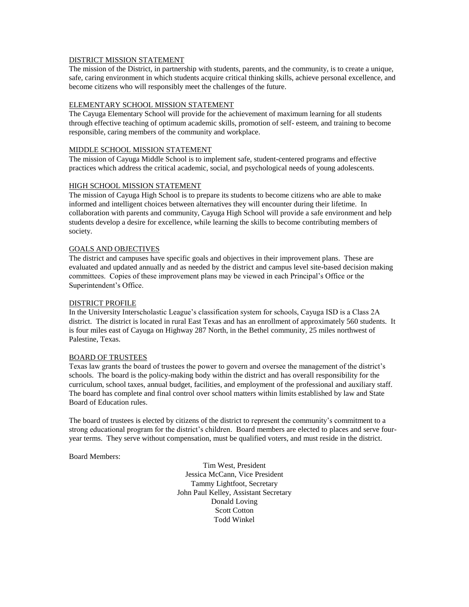### DISTRICT MISSION STATEMENT

The mission of the District, in partnership with students, parents, and the community, is to create a unique, safe, caring environment in which students acquire critical thinking skills, achieve personal excellence, and become citizens who will responsibly meet the challenges of the future.

### ELEMENTARY SCHOOL MISSION STATEMENT

The Cayuga Elementary School will provide for the achievement of maximum learning for all students through effective teaching of optimum academic skills, promotion of self- esteem, and training to become responsible, caring members of the community and workplace.

### MIDDLE SCHOOL MISSION STATEMENT

The mission of Cayuga Middle School is to implement safe, student-centered programs and effective practices which address the critical academic, social, and psychological needs of young adolescents.

### HIGH SCHOOL MISSION STATEMENT

The mission of Cayuga High School is to prepare its students to become citizens who are able to make informed and intelligent choices between alternatives they will encounter during their lifetime. In collaboration with parents and community, Cayuga High School will provide a safe environment and help students develop a desire for excellence, while learning the skills to become contributing members of society.

# GOALS AND OBJECTIVES

The district and campuses have specific goals and objectives in their improvement plans. These are evaluated and updated annually and as needed by the district and campus level site-based decision making committees. Copies of these improvement plans may be viewed in each Principal's Office or the Superintendent's Office.

### DISTRICT PROFILE

In the University Interscholastic League's classification system for schools, Cayuga ISD is a Class 2A district. The district is located in rural East Texas and has an enrollment of approximately 560 students. It is four miles east of Cayuga on Highway 287 North, in the Bethel community, 25 miles northwest of Palestine, Texas.

#### BOARD OF TRUSTEES

Texas law grants the board of trustees the power to govern and oversee the management of the district's schools. The board is the policy-making body within the district and has overall responsibility for the curriculum, school taxes, annual budget, facilities, and employment of the professional and auxiliary staff. The board has complete and final control over school matters within limits established by law and State Board of Education rules.

The board of trustees is elected by citizens of the district to represent the community's commitment to a strong educational program for the district's children. Board members are elected to places and serve fouryear terms. They serve without compensation, must be qualified voters, and must reside in the district.

Board Members:

Tim West, President Jessica McCann, Vice President Tammy Lightfoot, Secretary John Paul Kelley, Assistant Secretary Donald Loving Scott Cotton Todd Winkel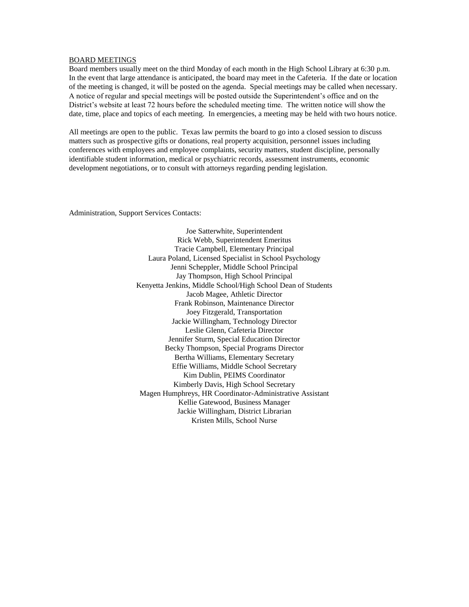#### BOARD MEETINGS

Board members usually meet on the third Monday of each month in the High School Library at 6:30 p.m. In the event that large attendance is anticipated, the board may meet in the Cafeteria. If the date or location of the meeting is changed, it will be posted on the agenda. Special meetings may be called when necessary. A notice of regular and special meetings will be posted outside the Superintendent's office and on the District's website at least 72 hours before the scheduled meeting time. The written notice will show the date, time, place and topics of each meeting. In emergencies, a meeting may be held with two hours notice.

All meetings are open to the public. Texas law permits the board to go into a closed session to discuss matters such as prospective gifts or donations, real property acquisition, personnel issues including conferences with employees and employee complaints, security matters, student discipline, personally identifiable student information, medical or psychiatric records, assessment instruments, economic development negotiations, or to consult with attorneys regarding pending legislation.

Administration, Support Services Contacts:

Joe Satterwhite, Superintendent Rick Webb, Superintendent Emeritus Tracie Campbell, Elementary Principal Laura Poland, Licensed Specialist in School Psychology Jenni Scheppler, Middle School Principal Jay Thompson, High School Principal Kenyetta Jenkins, Middle School/High School Dean of Students Jacob Magee, Athletic Director Frank Robinson, Maintenance Director Joey Fitzgerald, Transportation Jackie Willingham, Technology Director Leslie Glenn, Cafeteria Director Jennifer Sturm, Special Education Director Becky Thompson, Special Programs Director Bertha Williams, Elementary Secretary Effie Williams, Middle School Secretary Kim Dublin, PEIMS Coordinator Kimberly Davis, High School Secretary Magen Humphreys, HR Coordinator-Administrative Assistant Kellie Gatewood, Business Manager Jackie Willingham, District Librarian Kristen Mills, School Nurse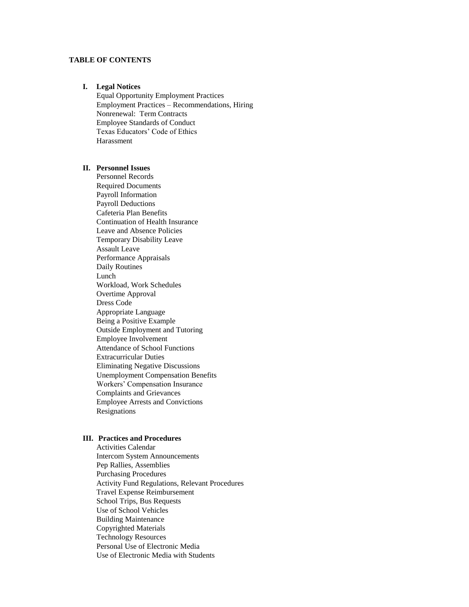# **TABLE OF CONTENTS**

#### **I. Legal Notices**

Equal Opportunity Employment Practices Employment Practices – Recommendations, Hiring Nonrenewal: Term Contracts Employee Standards of Conduct Texas Educators' Code of Ethics Harassment

### **II. Personnel Issues**

Personnel Records Required Documents Payroll Information Payroll Deductions Cafeteria Plan Benefits Continuation of Health Insurance Leave and Absence Policies Temporary Disability Leave Assault Leave Performance Appraisals Daily Routines Lunch Workload, Work Schedules Overtime Approval Dress Code Appropriate Language Being a Positive Example Outside Employment and Tutoring Employee Involvement Attendance of School Functions Extracurricular Duties Eliminating Negative Discussions Unemployment Compensation Benefits Workers' Compensation Insurance Complaints and Grievances Employee Arrests and Convictions Resignations

# **III. Practices and Procedures**

Activities Calendar Intercom System Announcements Pep Rallies, Assemblies Purchasing Procedures Activity Fund Regulations, Relevant Procedures Travel Expense Reimbursement School Trips, Bus Requests Use of School Vehicles Building Maintenance Copyrighted Materials Technology Resources Personal Use of Electronic Media Use of Electronic Media with Students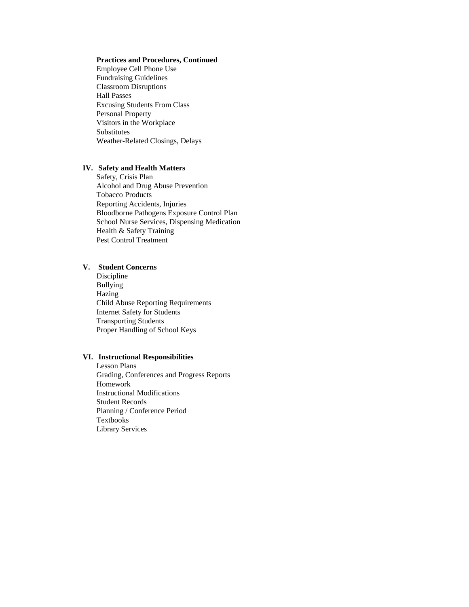### **Practices and Procedures, Continued**

Employee Cell Phone Use Fundraising Guidelines Classroom Disruptions Hall Passes Excusing Students From Class Personal Property Visitors in the Workplace Substitutes Weather-Related Closings, Delays

# **IV. Safety and Health Matters**

Safety, Crisis Plan Alcohol and Drug Abuse Prevention Tobacco Products Reporting Accidents, Injuries Bloodborne Pathogens Exposure Control Plan School Nurse Services, Dispensing Medication Health & Safety Training Pest Control Treatment

# **V. Student Concerns**

Discipline Bullying Hazing Child Abuse Reporting Requirements Internet Safety for Students Transporting Students Proper Handling of School Keys

### **VI. Instructional Responsibilities**

Lesson Plans Grading, Conferences and Progress Reports Homework Instructional Modifications Student Records Planning / Conference Period Textbooks Library Services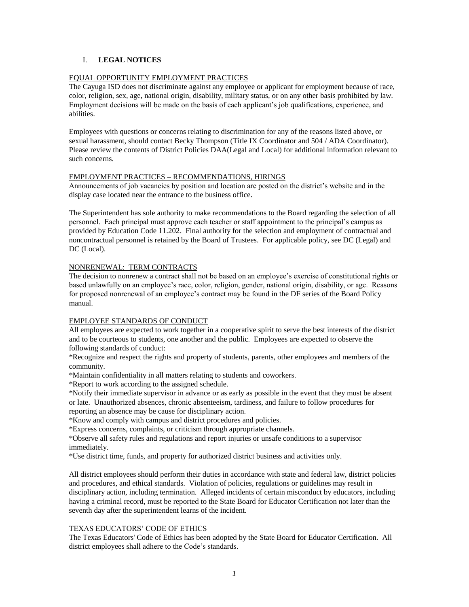# I. **LEGAL NOTICES**

# EQUAL OPPORTUNITY EMPLOYMENT PRACTICES

The Cayuga ISD does not discriminate against any employee or applicant for employment because of race, color, religion, sex, age, national origin, disability, military status, or on any other basis prohibited by law. Employment decisions will be made on the basis of each applicant's job qualifications, experience, and abilities.

Employees with questions or concerns relating to discrimination for any of the reasons listed above, or sexual harassment, should contact Becky Thompson (Title IX Coordinator and 504 / ADA Coordinator). Please review the contents of District Policies DAA(Legal and Local) for additional information relevant to such concerns.

### EMPLOYMENT PRACTICES – RECOMMENDATIONS, HIRINGS

Announcements of job vacancies by position and location are posted on the district's website and in the display case located near the entrance to the business office.

The Superintendent has sole authority to make recommendations to the Board regarding the selection of all personnel. Each principal must approve each teacher or staff appointment to the principal's campus as provided by Education Code 11.202. Final authority for the selection and employment of contractual and noncontractual personnel is retained by the Board of Trustees. For applicable policy, see DC (Legal) and DC (Local).

# NONRENEWAL: TERM CONTRACTS

The decision to nonrenew a contract shall not be based on an employee's exercise of constitutional rights or based unlawfully on an employee's race, color, religion, gender, national origin, disability, or age. Reasons for proposed nonrenewal of an employee's contract may be found in the DF series of the Board Policy manual.

# EMPLOYEE STANDARDS OF CONDUCT

All employees are expected to work together in a cooperative spirit to serve the best interests of the district and to be courteous to students, one another and the public. Employees are expected to observe the following standards of conduct:

\*Recognize and respect the rights and property of students, parents, other employees and members of the community.

\*Maintain confidentiality in all matters relating to students and coworkers.

\*Report to work according to the assigned schedule.

\*Notify their immediate supervisor in advance or as early as possible in the event that they must be absent or late. Unauthorized absences, chronic absenteeism, tardiness, and failure to follow procedures for reporting an absence may be cause for disciplinary action.

\*Know and comply with campus and district procedures and policies.

\*Express concerns, complaints, or criticism through appropriate channels.

\*Observe all safety rules and regulations and report injuries or unsafe conditions to a supervisor immediately.

\*Use district time, funds, and property for authorized district business and activities only.

All district employees should perform their duties in accordance with state and federal law, district policies and procedures, and ethical standards. Violation of policies, regulations or guidelines may result in disciplinary action, including termination. Alleged incidents of certain misconduct by educators, including having a criminal record, must be reported to the State Board for Educator Certification not later than the seventh day after the superintendent learns of the incident.

# TEXAS EDUCATORS' CODE OF ETHICS

The Texas Educators' Code of Ethics has been adopted by the State Board for Educator Certification. All district employees shall adhere to the Code's standards.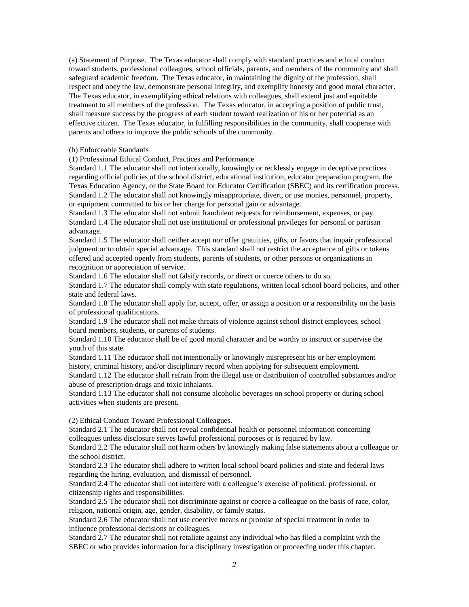(a) Statement of Purpose. The Texas educator shall comply with standard practices and ethical conduct toward students, professional colleagues, school officials, parents, and members of the community and shall safeguard academic freedom. The Texas educator, in maintaining the dignity of the profession, shall respect and obey the law, demonstrate personal integrity, and exemplify honesty and good moral character. The Texas educator, in exemplifying ethical relations with colleagues, shall extend just and equitable treatment to all members of the profession. The Texas educator, in accepting a position of public trust, shall measure success by the progress of each student toward realization of his or her potential as an effective citizen. The Texas educator, in fulfilling responsibilities in the community, shall cooperate with parents and others to improve the public schools of the community.

#### (b) Enforceable Standards

(1) Professional Ethical Conduct, Practices and Performance

Standard 1.1 The educator shall not intentionally, knowingly or recklessly engage in deceptive practices regarding official policies of the school district, educational institution, educator preparation program, the Texas Education Agency, or the State Board for Educator Certification (SBEC) and its certification process. Standard 1.2 The educator shall not knowingly misappropriate, divert, or use monies, personnel, property, or equipment committed to his or her charge for personal gain or advantage.

Standard 1.3 The educator shall not submit fraudulent requests for reimbursement, expenses, or pay. Standard 1.4 The educator shall not use institutional or professional privileges for personal or partisan advantage.

Standard 1.5 The educator shall neither accept nor offer gratuities, gifts, or favors that impair professional judgment or to obtain special advantage. This standard shall not restrict the acceptance of gifts or tokens offered and accepted openly from students, parents of students, or other persons or organizations in recognition or appreciation of service.

Standard 1.6 The educator shall not falsify records, or direct or coerce others to do so.

Standard 1.7 The educator shall comply with state regulations, written local school board policies, and other state and federal laws.

Standard 1.8 The educator shall apply for, accept, offer, or assign a position or a responsibility on the basis of professional qualifications.

Standard 1.9 The educator shall not make threats of violence against school district employees, school board members, students, or parents of students.

Standard 1.10 The educator shall be of good moral character and be worthy to instruct or supervise the youth of this state.

Standard 1.11 The educator shall not intentionally or knowingly misrepresent his or her employment history, criminal history, and/or disciplinary record when applying for subsequent employment.

Standard 1.12 The educator shall refrain from the illegal use or distribution of controlled substances and/or abuse of prescription drugs and toxic inhalants.

Standard 1.13 The educator shall not consume alcoholic beverages on school property or during school activities when students are present.

(2) Ethical Conduct Toward Professional Colleagues.

Standard 2.1 The educator shall not reveal confidential health or personnel information concerning colleagues unless disclosure serves lawful professional purposes or is required by law.

Standard 2.2 The educator shall not harm others by knowingly making false statements about a colleague or the school district.

Standard 2.3 The educator shall adhere to written local school board policies and state and federal laws regarding the hiring, evaluation, and dismissal of personnel.

Standard 2.4 The educator shall not interfere with a colleague's exercise of political, professional, or citizenship rights and responsibilities.

Standard 2.5 The educator shall not discriminate against or coerce a colleague on the basis of race, color, religion, national origin, age, gender, disability, or family status.

Standard 2.6 The educator shall not use coercive means or promise of special treatment in order to influence professional decisions or colleagues.

Standard 2.7 The educator shall not retaliate against any individual who has filed a complaint with the SBEC or who provides information for a disciplinary investigation or proceeding under this chapter.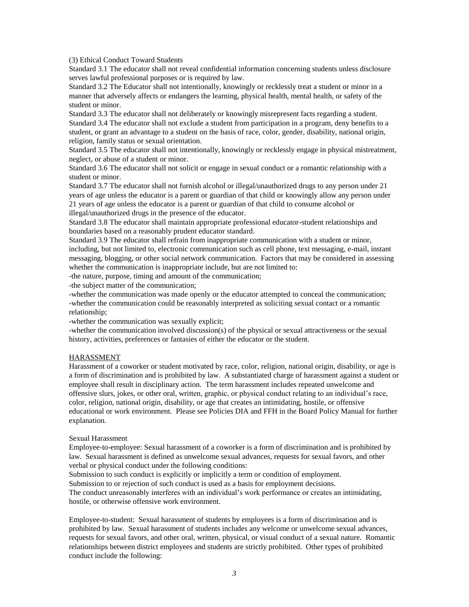(3) Ethical Conduct Toward Students

Standard 3.1 The educator shall not reveal confidential information concerning students unless disclosure serves lawful professional purposes or is required by law.

Standard 3.2 The Educator shall not intentionally, knowingly or recklessly treat a student or minor in a manner that adversely affects or endangers the learning, physical health, mental health, or safety of the student or minor.

Standard 3.3 The educator shall not deliberately or knowingly misrepresent facts regarding a student. Standard 3.4 The educator shall not exclude a student from participation in a program, deny benefits to a student, or grant an advantage to a student on the basis of race, color, gender, disability, national origin, religion, family status or sexual orientation.

Standard 3.5 The educator shall not intentionally, knowingly or recklessly engage in physical mistreatment, neglect, or abuse of a student or minor.

Standard 3.6 The educator shall not solicit or engage in sexual conduct or a romantic relationship with a student or minor.

Standard 3.7 The educator shall not furnish alcohol or illegal/unauthorized drugs to any person under 21 years of age unless the educator is a parent or guardian of that child or knowingly allow any person under 21 years of age unless the educator is a parent or guardian of that child to consume alcohol or illegal/unauthorized drugs in the presence of the educator.

Standard 3.8 The educator shall maintain appropriate professional educator-student relationships and boundaries based on a reasonably prudent educator standard.

Standard 3.9 The educator shall refrain from inappropriate communication with a student or minor, including, but not limited to, electronic communication such as cell phone, text messaging, e-mail, instant messaging, blogging, or other social network communication. Factors that may be considered in assessing whether the communication is inappropriate include, but are not limited to:

-the nature, purpose, timing and amount of the communication;

-the subject matter of the communication;

-whether the communication was made openly or the educator attempted to conceal the communication; -whether the communication could be reasonably interpreted as soliciting sexual contact or a romantic relationship;

-whether the communication was sexually explicit;

-whether the communication involved discussion(s) of the physical or sexual attractiveness or the sexual history, activities, preferences or fantasies of either the educator or the student.

#### HARASSMENT

Harassment of a coworker or student motivated by race, color, religion, national origin, disability, or age is a form of discrimination and is prohibited by law. A substantiated charge of harassment against a student or employee shall result in disciplinary action. The term harassment includes repeated unwelcome and offensive slurs, jokes, or other oral, written, graphic, or physical conduct relating to an individual's race, color, religion, national origin, disability, or age that creates an intimidating, hostile, or offensive educational or work environment. Please see Policies DIA and FFH in the Board Policy Manual for further explanation.

#### Sexual Harassment

Employee-to-employee: Sexual harassment of a coworker is a form of discrimination and is prohibited by law. Sexual harassment is defined as unwelcome sexual advances, requests for sexual favors, and other verbal or physical conduct under the following conditions:

Submission to such conduct is explicitly or implicitly a term or condition of employment.

Submission to or rejection of such conduct is used as a basis for employment decisions.

The conduct unreasonably interferes with an individual's work performance or creates an intimidating, hostile, or otherwise offensive work environment.

Employee-to-student: Sexual harassment of students by employees is a form of discrimination and is prohibited by law. Sexual harassment of students includes any welcome or unwelcome sexual advances, requests for sexual favors, and other oral, written, physical, or visual conduct of a sexual nature. Romantic relationships between district employees and students are strictly prohibited. Other types of prohibited conduct include the following: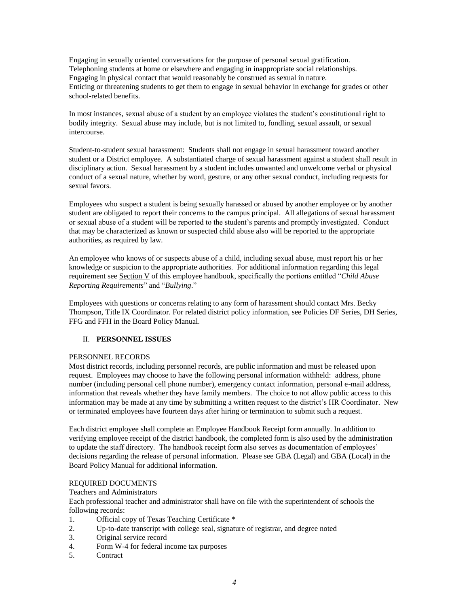Engaging in sexually oriented conversations for the purpose of personal sexual gratification. Telephoning students at home or elsewhere and engaging in inappropriate social relationships. Engaging in physical contact that would reasonably be construed as sexual in nature. Enticing or threatening students to get them to engage in sexual behavior in exchange for grades or other school-related benefits.

In most instances, sexual abuse of a student by an employee violates the student's constitutional right to bodily integrity. Sexual abuse may include, but is not limited to, fondling, sexual assault, or sexual intercourse.

Student-to-student sexual harassment: Students shall not engage in sexual harassment toward another student or a District employee. A substantiated charge of sexual harassment against a student shall result in disciplinary action. Sexual harassment by a student includes unwanted and unwelcome verbal or physical conduct of a sexual nature, whether by word, gesture, or any other sexual conduct, including requests for sexual favors.

Employees who suspect a student is being sexually harassed or abused by another employee or by another student are obligated to report their concerns to the campus principal. All allegations of sexual harassment or sexual abuse of a student will be reported to the student's parents and promptly investigated. Conduct that may be characterized as known or suspected child abuse also will be reported to the appropriate authorities, as required by law.

An employee who knows of or suspects abuse of a child, including sexual abuse, must report his or her knowledge or suspicion to the appropriate authorities. For additional information regarding this legal requirement see Section V of this employee handbook, specifically the portions entitled "*Child Abuse Reporting Requirements*" and "*Bullying*."

Employees with questions or concerns relating to any form of harassment should contact Mrs. Becky Thompson, Title IX Coordinator. For related district policy information, see Policies DF Series, DH Series, FFG and FFH in the Board Policy Manual.

# II. **PERSONNEL ISSUES**

#### PERSONNEL RECORDS

Most district records, including personnel records, are public information and must be released upon request. Employees may choose to have the following personal information withheld: address, phone number (including personal cell phone number), emergency contact information, personal e-mail address, information that reveals whether they have family members. The choice to not allow public access to this information may be made at any time by submitting a written request to the district's HR Coordinator. New or terminated employees have fourteen days after hiring or termination to submit such a request.

Each district employee shall complete an Employee Handbook Receipt form annually. In addition to verifying employee receipt of the district handbook, the completed form is also used by the administration to update the staff directory. The handbook receipt form also serves as documentation of employees' decisions regarding the release of personal information. Please see GBA (Legal) and GBA (Local) in the Board Policy Manual for additional information.

# REQUIRED DOCUMENTS

### Teachers and Administrators

Each professional teacher and administrator shall have on file with the superintendent of schools the following records:

- 1. Official copy of Texas Teaching Certificate \*
- 2. Up-to-date transcript with college seal, signature of registrar, and degree noted
- 3. Original service record
- 4. Form W-4 for federal income tax purposes
- 5. Contract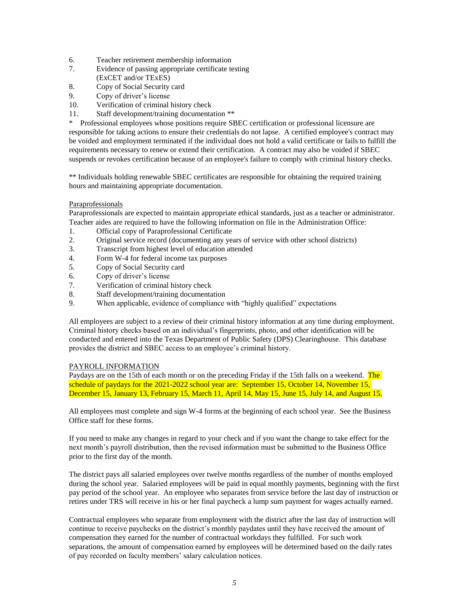- 6. Teacher retirement membership information
- 7. Evidence of passing appropriate certificate testing (ExCET and/or TExES)
- 8. Copy of Social Security card
- 9. Copy of driver's license
- 10. Verification of criminal history check
- 11. Staff development/training documentation \*\*

\* Professional employees whose positions require SBEC certification or professional licensure are responsible for taking actions to ensure their credentials do not lapse. A certified employee's contract may be voided and employment terminated if the individual does not hold a valid certificate or fails to fulfill the requirements necessary to renew or extend their certification. A contract may also be voided if SBEC suspends or revokes certification because of an employee's failure to comply with criminal history checks.

\*\* Individuals holding renewable SBEC certificates are responsible for obtaining the required training hours and maintaining appropriate documentation.

# Paraprofessionals

Paraprofessionals are expected to maintain appropriate ethical standards, just as a teacher or administrator. Teacher aides are required to have the following information on file in the Administration Office:

- 1. Official copy of Paraprofessional Certificate
- 2. Original service record (documenting any years of service with other school districts)
- 3. Transcript from highest level of education attended
- 4. Form W-4 for federal income tax purposes
- 5. Copy of Social Security card
- 6. Copy of driver's license
- 7. Verification of criminal history check
- 8. Staff development/training documentation
- 9. When applicable, evidence of compliance with "highly qualified" expectations

All employees are subject to a review of their criminal history information at any time during employment. Criminal history checks based on an individual's fingerprints, photo, and other identification will be conducted and entered into the Texas Department of Public Safety (DPS) Clearinghouse. This database provides the district and SBEC access to an employee's criminal history.

### PAYROLL INFORMATION

Paydays are on the 15th of each month or on the preceding Friday if the 15th falls on a weekend. The schedule of paydays for the 2021-2022 school year are: September 15, October 14, November 15, December 15, January 13, February 15, March 11, April 14, May 15, June 15, July 14, and August 15.

All employees must complete and sign W-4 forms at the beginning of each school year. See the Business Office staff for these forms.

If you need to make any changes in regard to your check and if you want the change to take effect for the next month's payroll distribution, then the revised information must be submitted to the Business Office prior to the first day of the month.

The district pays all salaried employees over twelve months regardless of the number of months employed during the school year. Salaried employees will be paid in equal monthly payments, beginning with the first pay period of the school year. An employee who separates from service before the last day of instruction or retires under TRS will receive in his or her final paycheck a lump sum payment for wages actually earned.

Contractual employees who separate from employment with the district after the last day of instruction will continue to receive paychecks on the district's monthly paydates until they have received the amount of compensation they earned for the number of contractual workdays they fulfilled. For such work separations, the amount of compensation earned by employees will be determined based on the daily rates of pay recorded on faculty members' salary calculation notices.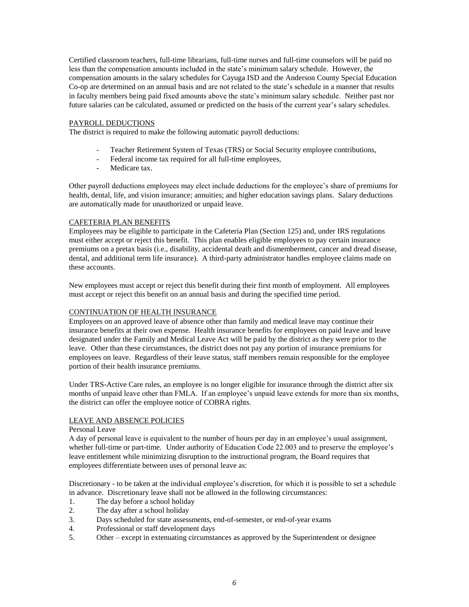Certified classroom teachers, full-time librarians, full-time nurses and full-time counselors will be paid no less than the compensation amounts included in the state's minimum salary schedule. However, the compensation amounts in the salary schedules for Cayuga ISD and the Anderson County Special Education Co-op are determined on an annual basis and are not related to the state's schedule in a manner that results in faculty members being paid fixed amounts above the state's minimum salary schedule. Neither past nor future salaries can be calculated, assumed or predicted on the basis of the current year's salary schedules.

### PAYROLL DEDUCTIONS

The district is required to make the following automatic payroll deductions:

- Teacher Retirement System of Texas (TRS) or Social Security employee contributions,
- Federal income tax required for all full-time employees,
- Medicare tax.

Other payroll deductions employees may elect include deductions for the employee's share of premiums for health, dental, life, and vision insurance; annuities; and higher education savings plans. Salary deductions are automatically made for unauthorized or unpaid leave.

### CAFETERIA PLAN BENEFITS

Employees may be eligible to participate in the Cafeteria Plan (Section 125) and, under IRS regulations must either accept or reject this benefit. This plan enables eligible employees to pay certain insurance premiums on a pretax basis (i.e., disability, accidental death and dismemberment, cancer and dread disease, dental, and additional term life insurance). A third-party administrator handles employee claims made on these accounts.

New employees must accept or reject this benefit during their first month of employment. All employees must accept or reject this benefit on an annual basis and during the specified time period.

#### CONTINUATION OF HEALTH INSURANCE

Employees on an approved leave of absence other than family and medical leave may continue their insurance benefits at their own expense. Health insurance benefits for employees on paid leave and leave designated under the Family and Medical Leave Act will be paid by the district as they were prior to the leave. Other than these circumstances, the district does not pay any portion of insurance premiums for employees on leave. Regardless of their leave status, staff members remain responsible for the employee portion of their health insurance premiums.

Under TRS-Active Care rules, an employee is no longer eligible for insurance through the district after six months of unpaid leave other than FMLA. If an employee's unpaid leave extends for more than six months, the district can offer the employee notice of COBRA rights.

# LEAVE AND ABSENCE POLICIES

### Personal Leave

A day of personal leave is equivalent to the number of hours per day in an employee's usual assignment, whether full-time or part-time. Under authority of Education Code 22.003 and to preserve the employee's leave entitlement while minimizing disruption to the instructional program, the Board requires that employees differentiate between uses of personal leave as:

Discretionary - to be taken at the individual employee's discretion, for which it is possible to set a schedule in advance. Discretionary leave shall not be allowed in the following circumstances:

- 1. The day before a school holiday
- 2. The day after a school holiday
- 3. Days scheduled for state assessments, end-of-semester, or end-of-year exams
- 4. Professional or staff development days
- 5. Other except in extenuating circumstances as approved by the Superintendent or designee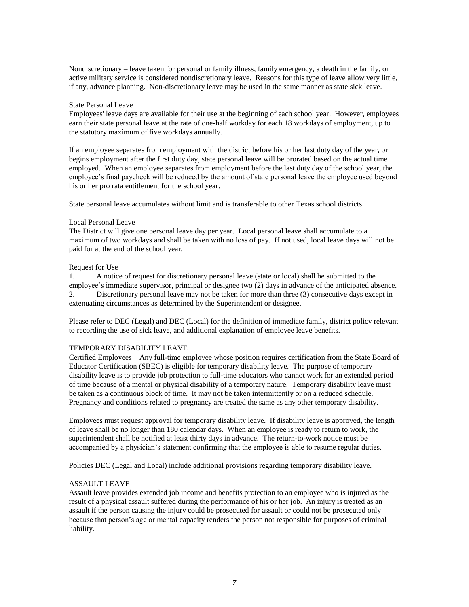Nondiscretionary – leave taken for personal or family illness, family emergency, a death in the family, or active military service is considered nondiscretionary leave. Reasons for this type of leave allow very little, if any, advance planning. Non-discretionary leave may be used in the same manner as state sick leave.

#### State Personal Leave

Employees' leave days are available for their use at the beginning of each school year. However, employees earn their state personal leave at the rate of one-half workday for each 18 workdays of employment, up to the statutory maximum of five workdays annually.

If an employee separates from employment with the district before his or her last duty day of the year, or begins employment after the first duty day, state personal leave will be prorated based on the actual time employed. When an employee separates from employment before the last duty day of the school year, the employee's final paycheck will be reduced by the amount of state personal leave the employee used beyond his or her pro rata entitlement for the school year.

State personal leave accumulates without limit and is transferable to other Texas school districts.

#### Local Personal Leave

The District will give one personal leave day per year. Local personal leave shall accumulate to a maximum of two workdays and shall be taken with no loss of pay. If not used, local leave days will not be paid for at the end of the school year.

#### Request for Use

1. A notice of request for discretionary personal leave (state or local) shall be submitted to the employee's immediate supervisor, principal or designee two (2) days in advance of the anticipated absence. 2. Discretionary personal leave may not be taken for more than three (3) consecutive days except in extenuating circumstances as determined by the Superintendent or designee.

Please refer to DEC (Legal) and DEC (Local) for the definition of immediate family, district policy relevant to recording the use of sick leave, and additional explanation of employee leave benefits.

### TEMPORARY DISABILITY LEAVE

Certified Employees – Any full-time employee whose position requires certification from the State Board of Educator Certification (SBEC) is eligible for temporary disability leave. The purpose of temporary disability leave is to provide job protection to full-time educators who cannot work for an extended period of time because of a mental or physical disability of a temporary nature. Temporary disability leave must be taken as a continuous block of time. It may not be taken intermittently or on a reduced schedule. Pregnancy and conditions related to pregnancy are treated the same as any other temporary disability.

Employees must request approval for temporary disability leave. If disability leave is approved, the length of leave shall be no longer than 180 calendar days. When an employee is ready to return to work, the superintendent shall be notified at least thirty days in advance. The return-to-work notice must be accompanied by a physician's statement confirming that the employee is able to resume regular duties.

Policies DEC (Legal and Local) include additional provisions regarding temporary disability leave.

#### ASSAULT LEAVE

Assault leave provides extended job income and benefits protection to an employee who is injured as the result of a physical assault suffered during the performance of his or her job. An injury is treated as an assault if the person causing the injury could be prosecuted for assault or could not be prosecuted only because that person's age or mental capacity renders the person not responsible for purposes of criminal liability.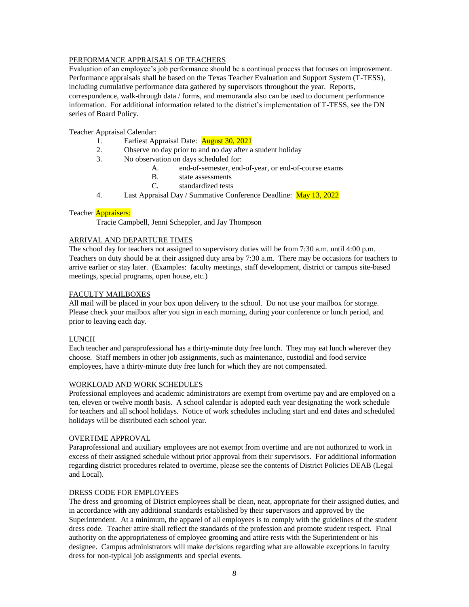# PERFORMANCE APPRAISALS OF TEACHERS

Evaluation of an employee's job performance should be a continual process that focuses on improvement. Performance appraisals shall be based on the Texas Teacher Evaluation and Support System (T-TESS), including cumulative performance data gathered by supervisors throughout the year. Reports, correspondence, walk-through data / forms, and memoranda also can be used to document performance information. For additional information related to the district's implementation of T-TESS, see the DN series of Board Policy.

# Teacher Appraisal Calendar:

- 1. Earliest Appraisal Date: **August 30, 2021**
- 2. Observe no day prior to and no day after a student holiday
- 3. No observation on days scheduled for:
	- A. end-of-semester, end-of-year, or end-of-course exams
	- B. state assessments
	- C. standardized tests
- 4. Last Appraisal Day / Summative Conference Deadline: May 13, 2022

# Teacher **Appraisers:**

Tracie Campbell, Jenni Scheppler, and Jay Thompson

# ARRIVAL AND DEPARTURE TIMES

The school day for teachers not assigned to supervisory duties will be from 7:30 a.m. until 4:00 p.m. Teachers on duty should be at their assigned duty area by 7:30 a.m. There may be occasions for teachers to arrive earlier or stay later. (Examples: faculty meetings, staff development, district or campus site-based meetings, special programs, open house, etc.)

### FACULTY MAILBOXES

All mail will be placed in your box upon delivery to the school. Do not use your mailbox for storage. Please check your mailbox after you sign in each morning, during your conference or lunch period, and prior to leaving each day.

# LUNCH

Each teacher and paraprofessional has a thirty-minute duty free lunch. They may eat lunch wherever they choose. Staff members in other job assignments, such as maintenance, custodial and food service employees, have a thirty-minute duty free lunch for which they are not compensated.

#### WORKLOAD AND WORK SCHEDULES

Professional employees and academic administrators are exempt from overtime pay and are employed on a ten, eleven or twelve month basis. A school calendar is adopted each year designating the work schedule for teachers and all school holidays. Notice of work schedules including start and end dates and scheduled holidays will be distributed each school year.

# OVERTIME APPROVAL

Paraprofessional and auxiliary employees are not exempt from overtime and are not authorized to work in excess of their assigned schedule without prior approval from their supervisors. For additional information regarding district procedures related to overtime, please see the contents of District Policies DEAB (Legal and Local).

### DRESS CODE FOR EMPLOYEES

The dress and grooming of District employees shall be clean, neat, appropriate for their assigned duties, and in accordance with any additional standards established by their supervisors and approved by the Superintendent. At a minimum, the apparel of all employees is to comply with the guidelines of the student dress code. Teacher attire shall reflect the standards of the profession and promote student respect. Final authority on the appropriateness of employee grooming and attire rests with the Superintendent or his designee. Campus administrators will make decisions regarding what are allowable exceptions in faculty dress for non-typical job assignments and special events.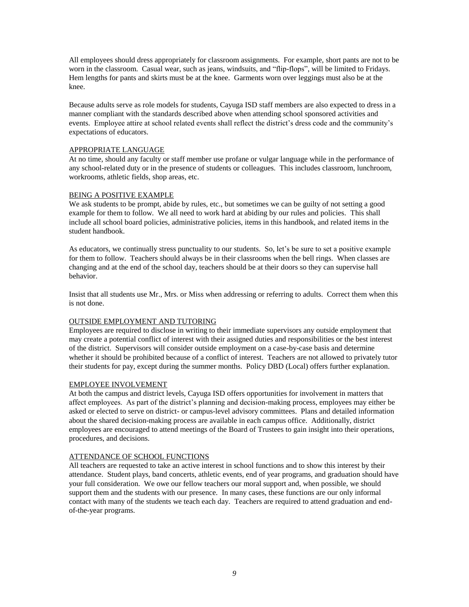All employees should dress appropriately for classroom assignments. For example, short pants are not to be worn in the classroom. Casual wear, such as jeans, windsuits, and "flip-flops", will be limited to Fridays. Hem lengths for pants and skirts must be at the knee. Garments worn over leggings must also be at the knee.

Because adults serve as role models for students, Cayuga ISD staff members are also expected to dress in a manner compliant with the standards described above when attending school sponsored activities and events. Employee attire at school related events shall reflect the district's dress code and the community's expectations of educators.

### APPROPRIATE LANGUAGE

At no time, should any faculty or staff member use profane or vulgar language while in the performance of any school-related duty or in the presence of students or colleagues. This includes classroom, lunchroom, workrooms, athletic fields, shop areas, etc.

#### BEING A POSITIVE EXAMPLE

We ask students to be prompt, abide by rules, etc., but sometimes we can be guilty of not setting a good example for them to follow. We all need to work hard at abiding by our rules and policies. This shall include all school board policies, administrative policies, items in this handbook, and related items in the student handbook.

As educators, we continually stress punctuality to our students. So, let's be sure to set a positive example for them to follow. Teachers should always be in their classrooms when the bell rings. When classes are changing and at the end of the school day, teachers should be at their doors so they can supervise hall behavior.

Insist that all students use Mr., Mrs. or Miss when addressing or referring to adults. Correct them when this is not done.

# OUTSIDE EMPLOYMENT AND TUTORING

Employees are required to disclose in writing to their immediate supervisors any outside employment that may create a potential conflict of interest with their assigned duties and responsibilities or the best interest of the district. Supervisors will consider outside employment on a case-by-case basis and determine whether it should be prohibited because of a conflict of interest. Teachers are not allowed to privately tutor their students for pay, except during the summer months. Policy DBD (Local) offers further explanation.

#### EMPLOYEE INVOLVEMENT

At both the campus and district levels, Cayuga ISD offers opportunities for involvement in matters that affect employees. As part of the district's planning and decision-making process, employees may either be asked or elected to serve on district- or campus-level advisory committees. Plans and detailed information about the shared decision-making process are available in each campus office. Additionally, district employees are encouraged to attend meetings of the Board of Trustees to gain insight into their operations, procedures, and decisions.

#### ATTENDANCE OF SCHOOL FUNCTIONS

All teachers are requested to take an active interest in school functions and to show this interest by their attendance. Student plays, band concerts, athletic events, end of year programs, and graduation should have your full consideration. We owe our fellow teachers our moral support and, when possible, we should support them and the students with our presence. In many cases, these functions are our only informal contact with many of the students we teach each day. Teachers are required to attend graduation and endof-the-year programs.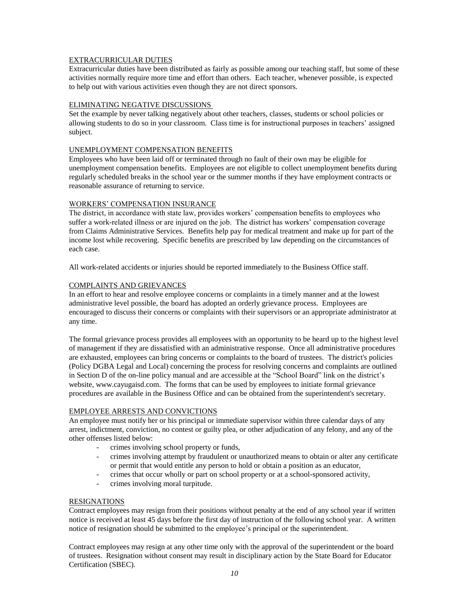# EXTRACURRICULAR DUTIES

Extracurricular duties have been distributed as fairly as possible among our teaching staff, but some of these activities normally require more time and effort than others. Each teacher, whenever possible, is expected to help out with various activities even though they are not direct sponsors.

### ELIMINATING NEGATIVE DISCUSSIONS

Set the example by never talking negatively about other teachers, classes, students or school policies or allowing students to do so in your classroom. Class time is for instructional purposes in teachers' assigned subject.

### UNEMPLOYMENT COMPENSATION BENEFITS

Employees who have been laid off or terminated through no fault of their own may be eligible for unemployment compensation benefits. Employees are not eligible to collect unemployment benefits during regularly scheduled breaks in the school year or the summer months if they have employment contracts or reasonable assurance of returning to service.

### WORKERS' COMPENSATION INSURANCE

The district, in accordance with state law, provides workers' compensation benefits to employees who suffer a work-related illness or are injured on the job. The district has workers' compensation coverage from Claims Administrative Services. Benefits help pay for medical treatment and make up for part of the income lost while recovering. Specific benefits are prescribed by law depending on the circumstances of each case.

All work-related accidents or injuries should be reported immediately to the Business Office staff.

### COMPLAINTS AND GRIEVANCES

In an effort to hear and resolve employee concerns or complaints in a timely manner and at the lowest administrative level possible, the board has adopted an orderly grievance process. Employees are encouraged to discuss their concerns or complaints with their supervisors or an appropriate administrator at any time.

The formal grievance process provides all employees with an opportunity to be heard up to the highest level of management if they are dissatisfied with an administrative response. Once all administrative procedures are exhausted, employees can bring concerns or complaints to the board of trustees. The district's policies (Policy DGBA Legal and Local) concerning the process for resolving concerns and complaints are outlined in Section D of the on-line policy manual and are accessible at the "School Board" link on the district's website, www.cayugaisd.com. The forms that can be used by employees to initiate formal grievance procedures are available in the Business Office and can be obtained from the superintendent's secretary.

#### EMPLOYEE ARRESTS AND CONVICTIONS

An employee must notify her or his principal or immediate supervisor within three calendar days of any arrest, indictment, conviction, no contest or guilty plea, or other adjudication of any felony, and any of the other offenses listed below:

- crimes involving school property or funds,
- crimes involving attempt by fraudulent or unauthorized means to obtain or alter any certificate or permit that would entitle any person to hold or obtain a position as an educator,
- crimes that occur wholly or part on school property or at a school-sponsored activity,
- crimes involving moral turpitude.

# RESIGNATIONS

Contract employees may resign from their positions without penalty at the end of any school year if written notice is received at least 45 days before the first day of instruction of the following school year. A written notice of resignation should be submitted to the employee's principal or the superintendent.

Contract employees may resign at any other time only with the approval of the superintendent or the board of trustees. Resignation without consent may result in disciplinary action by the State Board for Educator Certification (SBEC).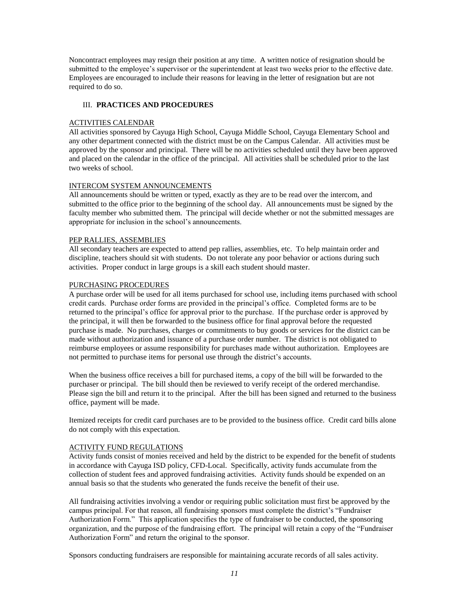Noncontract employees may resign their position at any time. A written notice of resignation should be submitted to the employee's supervisor or the superintendent at least two weeks prior to the effective date. Employees are encouraged to include their reasons for leaving in the letter of resignation but are not required to do so.

### III. **PRACTICES AND PROCEDURES**

#### ACTIVITIES CALENDAR

All activities sponsored by Cayuga High School, Cayuga Middle School, Cayuga Elementary School and any other department connected with the district must be on the Campus Calendar. All activities must be approved by the sponsor and principal. There will be no activities scheduled until they have been approved and placed on the calendar in the office of the principal. All activities shall be scheduled prior to the last two weeks of school.

#### INTERCOM SYSTEM ANNOUNCEMENTS

All announcements should be written or typed, exactly as they are to be read over the intercom, and submitted to the office prior to the beginning of the school day. All announcements must be signed by the faculty member who submitted them. The principal will decide whether or not the submitted messages are appropriate for inclusion in the school's announcements.

### PEP RALLIES, ASSEMBLIES

All secondary teachers are expected to attend pep rallies, assemblies, etc. To help maintain order and discipline, teachers should sit with students. Do not tolerate any poor behavior or actions during such activities. Proper conduct in large groups is a skill each student should master.

### PURCHASING PROCEDURES

A purchase order will be used for all items purchased for school use, including items purchased with school credit cards. Purchase order forms are provided in the principal's office. Completed forms are to be returned to the principal's office for approval prior to the purchase. If the purchase order is approved by the principal, it will then be forwarded to the business office for final approval before the requested purchase is made. No purchases, charges or commitments to buy goods or services for the district can be made without authorization and issuance of a purchase order number. The district is not obligated to reimburse employees or assume responsibility for purchases made without authorization. Employees are not permitted to purchase items for personal use through the district's accounts.

When the business office receives a bill for purchased items, a copy of the bill will be forwarded to the purchaser or principal. The bill should then be reviewed to verify receipt of the ordered merchandise. Please sign the bill and return it to the principal. After the bill has been signed and returned to the business office, payment will be made.

Itemized receipts for credit card purchases are to be provided to the business office. Credit card bills alone do not comply with this expectation.

#### ACTIVITY FUND REGULATIONS

Activity funds consist of monies received and held by the district to be expended for the benefit of students in accordance with Cayuga ISD policy, CFD-Local. Specifically, activity funds accumulate from the collection of student fees and approved fundraising activities. Activity funds should be expended on an annual basis so that the students who generated the funds receive the benefit of their use.

All fundraising activities involving a vendor or requiring public solicitation must first be approved by the campus principal. For that reason, all fundraising sponsors must complete the district's "Fundraiser Authorization Form." This application specifies the type of fundraiser to be conducted, the sponsoring organization, and the purpose of the fundraising effort. The principal will retain a copy of the "Fundraiser Authorization Form" and return the original to the sponsor.

Sponsors conducting fundraisers are responsible for maintaining accurate records of all sales activity.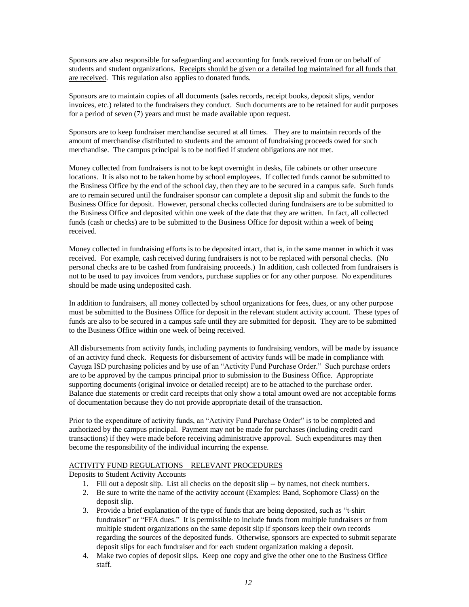Sponsors are also responsible for safeguarding and accounting for funds received from or on behalf of students and student organizations. Receipts should be given or a detailed log maintained for all funds that are received. This regulation also applies to donated funds.

Sponsors are to maintain copies of all documents (sales records, receipt books, deposit slips, vendor invoices, etc.) related to the fundraisers they conduct. Such documents are to be retained for audit purposes for a period of seven (7) years and must be made available upon request.

Sponsors are to keep fundraiser merchandise secured at all times. They are to maintain records of the amount of merchandise distributed to students and the amount of fundraising proceeds owed for such merchandise. The campus principal is to be notified if student obligations are not met.

Money collected from fundraisers is not to be kept overnight in desks, file cabinets or other unsecure locations. It is also not to be taken home by school employees. If collected funds cannot be submitted to the Business Office by the end of the school day, then they are to be secured in a campus safe. Such funds are to remain secured until the fundraiser sponsor can complete a deposit slip and submit the funds to the Business Office for deposit. However, personal checks collected during fundraisers are to be submitted to the Business Office and deposited within one week of the date that they are written. In fact, all collected funds (cash or checks) are to be submitted to the Business Office for deposit within a week of being received.

Money collected in fundraising efforts is to be deposited intact, that is, in the same manner in which it was received. For example, cash received during fundraisers is not to be replaced with personal checks. (No personal checks are to be cashed from fundraising proceeds.) In addition, cash collected from fundraisers is not to be used to pay invoices from vendors, purchase supplies or for any other purpose. No expenditures should be made using undeposited cash.

In addition to fundraisers, all money collected by school organizations for fees, dues, or any other purpose must be submitted to the Business Office for deposit in the relevant student activity account. These types of funds are also to be secured in a campus safe until they are submitted for deposit. They are to be submitted to the Business Office within one week of being received.

All disbursements from activity funds, including payments to fundraising vendors, will be made by issuance of an activity fund check. Requests for disbursement of activity funds will be made in compliance with Cayuga ISD purchasing policies and by use of an "Activity Fund Purchase Order." Such purchase orders are to be approved by the campus principal prior to submission to the Business Office. Appropriate supporting documents (original invoice or detailed receipt) are to be attached to the purchase order. Balance due statements or credit card receipts that only show a total amount owed are not acceptable forms of documentation because they do not provide appropriate detail of the transaction.

Prior to the expenditure of activity funds, an "Activity Fund Purchase Order" is to be completed and authorized by the campus principal. Payment may not be made for purchases (including credit card transactions) if they were made before receiving administrative approval. Such expenditures may then become the responsibility of the individual incurring the expense.

# ACTIVITY FUND REGULATIONS – RELEVANT PROCEDURES

Deposits to Student Activity Accounts

- 1. Fill out a deposit slip. List all checks on the deposit slip -- by names, not check numbers.
- 2. Be sure to write the name of the activity account (Examples: Band, Sophomore Class) on the deposit slip.
- 3. Provide a brief explanation of the type of funds that are being deposited, such as "t-shirt fundraiser" or "FFA dues." It is permissible to include funds from multiple fundraisers or from multiple student organizations on the same deposit slip if sponsors keep their own records regarding the sources of the deposited funds. Otherwise, sponsors are expected to submit separate deposit slips for each fundraiser and for each student organization making a deposit.
- 4. Make two copies of deposit slips. Keep one copy and give the other one to the Business Office staff.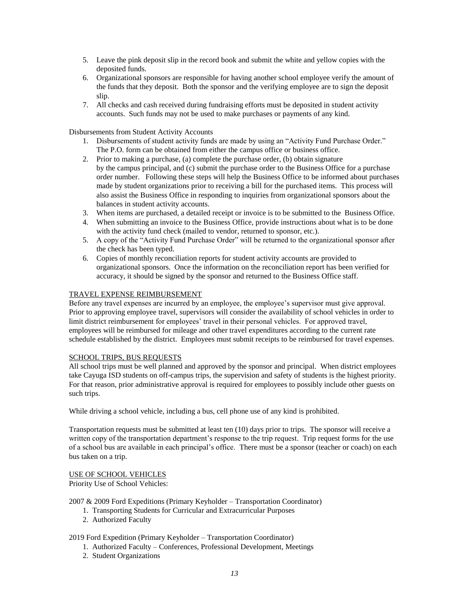- 5. Leave the pink deposit slip in the record book and submit the white and yellow copies with the deposited funds.
- 6. Organizational sponsors are responsible for having another school employee verify the amount of the funds that they deposit. Both the sponsor and the verifying employee are to sign the deposit slip.
- 7. All checks and cash received during fundraising efforts must be deposited in student activity accounts. Such funds may not be used to make purchases or payments of any kind.

Disbursements from Student Activity Accounts

- 1. Disbursements of student activity funds are made by using an "Activity Fund Purchase Order." The P.O. form can be obtained from either the campus office or business office.
- 2. Prior to making a purchase, (a) complete the purchase order, (b) obtain signature by the campus principal, and (c) submit the purchase order to the Business Office for a purchase order number. Following these steps will help the Business Office to be informed about purchases made by student organizations prior to receiving a bill for the purchased items. This process will also assist the Business Office in responding to inquiries from organizational sponsors about the balances in student activity accounts.
- 3. When items are purchased, a detailed receipt or invoice is to be submitted to the Business Office.
- 4. When submitting an invoice to the Business Office, provide instructions about what is to be done with the activity fund check (mailed to vendor, returned to sponsor, etc.).
- 5. A copy of the "Activity Fund Purchase Order" will be returned to the organizational sponsor after the check has been typed.
- 6. Copies of monthly reconciliation reports for student activity accounts are provided to organizational sponsors. Once the information on the reconciliation report has been verified for accuracy, it should be signed by the sponsor and returned to the Business Office staff.

### TRAVEL EXPENSE REIMBURSEMENT

Before any travel expenses are incurred by an employee, the employee's supervisor must give approval. Prior to approving employee travel, supervisors will consider the availability of school vehicles in order to limit district reimbursement for employees' travel in their personal vehicles. For approved travel, employees will be reimbursed for mileage and other travel expenditures according to the current rate schedule established by the district. Employees must submit receipts to be reimbursed for travel expenses.

#### SCHOOL TRIPS, BUS REQUESTS

All school trips must be well planned and approved by the sponsor and principal. When district employees take Cayuga ISD students on off-campus trips, the supervision and safety of students is the highest priority. For that reason, prior administrative approval is required for employees to possibly include other guests on such trips.

While driving a school vehicle, including a bus, cell phone use of any kind is prohibited.

Transportation requests must be submitted at least ten (10) days prior to trips. The sponsor will receive a written copy of the transportation department's response to the trip request. Trip request forms for the use of a school bus are available in each principal's office. There must be a sponsor (teacher or coach) on each bus taken on a trip.

# USE OF SCHOOL VEHICLES

Priority Use of School Vehicles:

2007 & 2009 Ford Expeditions (Primary Keyholder – Transportation Coordinator)

- 1. Transporting Students for Curricular and Extracurricular Purposes
- 2. Authorized Faculty

# 2019 Ford Expedition (Primary Keyholder – Transportation Coordinator)

- 1. Authorized Faculty Conferences, Professional Development, Meetings
- 2. Student Organizations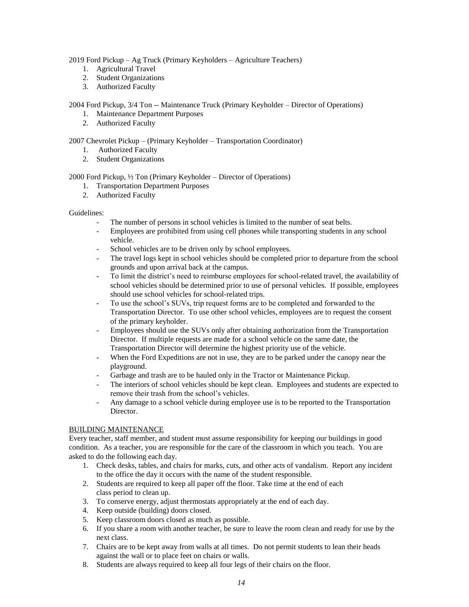2019 Ford Pickup – Ag Truck (Primary Keyholders – Agriculture Teachers)

- 1. Agricultural Travel
- 2. Student Organizations
- 3. Authorized Faculty

# 2004 Ford Pickup, 3/4 Ton -- Maintenance Truck (Primary Keyholder – Director of Operations)

- 1. Maintenance Department Purposes
- 2. Authorized Faculty

# 2007 Chevrolet Pickup – (Primary Keyholder – Transportation Coordinator)

- 1. Authorized Faculty
- 2. Student Organizations

# 2000 Ford Pickup, ½ Ton (Primary Keyholder – Director of Operations)

- 1. Transportation Department Purposes
- 2. Authorized Faculty

# Guidelines:

- The number of persons in school vehicles is limited to the number of seat belts.
- Employees are prohibited from using cell phones while transporting students in any school vehicle.
- School vehicles are to be driven only by school employees.
- The travel logs kept in school vehicles should be completed prior to departure from the school grounds and upon arrival back at the campus.
- To limit the district's need to reimburse employees for school-related travel, the availability of school vehicles should be determined prior to use of personal vehicles. If possible, employees should use school vehicles for school-related trips.
- To use the school's SUVs, trip request forms are to be completed and forwarded to the Transportation Director. To use other school vehicles, employees are to request the consent of the primary keyholder.
- Employees should use the SUVs only after obtaining authorization from the Transportation Director. If multiple requests are made for a school vehicle on the same date, the Transportation Director will determine the highest priority use of the vehicle.
- When the Ford Expeditions are not in use, they are to be parked under the canopy near the playground.
- Garbage and trash are to be hauled only in the Tractor or Maintenance Pickup.
- The interiors of school vehicles should be kept clean. Employees and students are expected to remove their trash from the school's vehicles.
- Any damage to a school vehicle during employee use is to be reported to the Transportation Director.

# BUILDING MAINTENANCE

Every teacher, staff member, and student must assume responsibility for keeping our buildings in good condition. As a teacher, you are responsible for the care of the classroom in which you teach. You are asked to do the following each day.

- 1. Check desks, tables, and chairs for marks, cuts, and other acts of vandalism. Report any incident to the office the day it occurs with the name of the student responsible.
- 2. Students are required to keep all paper off the floor. Take time at the end of each class period to clean up.
- 3. To conserve energy, adjust thermostats appropriately at the end of each day.
- 4. Keep outside (building) doors closed.
- 5. Keep classroom doors closed as much as possible.
- 6. If you share a room with another teacher, be sure to leave the room clean and ready for use by the next class.
- 7. Chairs are to be kept away from walls at all times. Do not permit students to lean their heads against the wall or to place feet on chairs or walls.
- 8. Students are always required to keep all four legs of their chairs on the floor.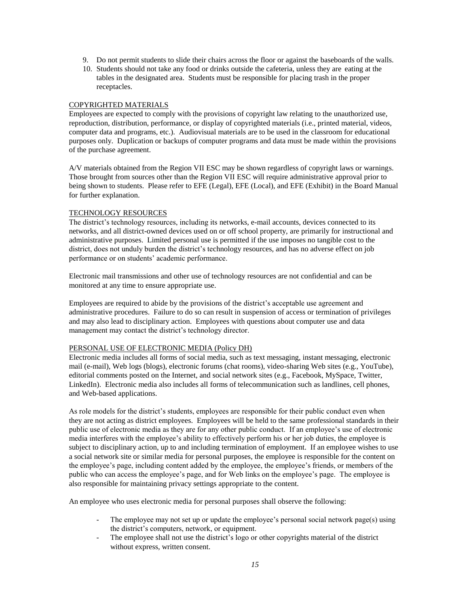- 9. Do not permit students to slide their chairs across the floor or against the baseboards of the walls.
- 10. Students should not take any food or drinks outside the cafeteria, unless they are eating at the tables in the designated area. Students must be responsible for placing trash in the proper receptacles.

#### COPYRIGHTED MATERIALS

Employees are expected to comply with the provisions of copyright law relating to the unauthorized use, reproduction, distribution, performance, or display of copyrighted materials (i.e., printed material, videos, computer data and programs, etc.). Audiovisual materials are to be used in the classroom for educational purposes only. Duplication or backups of computer programs and data must be made within the provisions of the purchase agreement.

A/V materials obtained from the Region VII ESC may be shown regardless of copyright laws or warnings. Those brought from sources other than the Region VII ESC will require administrative approval prior to being shown to students. Please refer to EFE (Legal), EFE (Local), and EFE (Exhibit) in the Board Manual for further explanation.

### TECHNOLOGY RESOURCES

The district's technology resources, including its networks, e-mail accounts, devices connected to its networks, and all district-owned devices used on or off school property, are primarily for instructional and administrative purposes. Limited personal use is permitted if the use imposes no tangible cost to the district, does not unduly burden the district's technology resources, and has no adverse effect on job performance or on students' academic performance.

Electronic mail transmissions and other use of technology resources are not confidential and can be monitored at any time to ensure appropriate use.

Employees are required to abide by the provisions of the district's acceptable use agreement and administrative procedures. Failure to do so can result in suspension of access or termination of privileges and may also lead to disciplinary action. Employees with questions about computer use and data management may contact the district's technology director.

#### PERSONAL USE OF ELECTRONIC MEDIA (Policy DH)

Electronic media includes all forms of social media, such as text messaging, instant messaging, electronic mail (e-mail), Web logs (blogs), electronic forums (chat rooms), video-sharing Web sites (e.g., YouTube), editorial comments posted on the Internet, and social network sites (e.g., Facebook, MySpace, Twitter, LinkedIn). Electronic media also includes all forms of telecommunication such as landlines, cell phones, and Web-based applications.

As role models for the district's students, employees are responsible for their public conduct even when they are not acting as district employees. Employees will be held to the same professional standards in their public use of electronic media as they are for any other public conduct. If an employee's use of electronic media interferes with the employee's ability to effectively perform his or her job duties, the employee is subject to disciplinary action, up to and including termination of employment. If an employee wishes to use a social network site or similar media for personal purposes, the employee is responsible for the content on the employee's page, including content added by the employee, the employee's friends, or members of the public who can access the employee's page, and for Web links on the employee's page. The employee is also responsible for maintaining privacy settings appropriate to the content.

An employee who uses electronic media for personal purposes shall observe the following:

- The employee may not set up or update the employee's personal social network page(s) using the district's computers, network, or equipment.
- The employee shall not use the district's logo or other copyrights material of the district without express, written consent.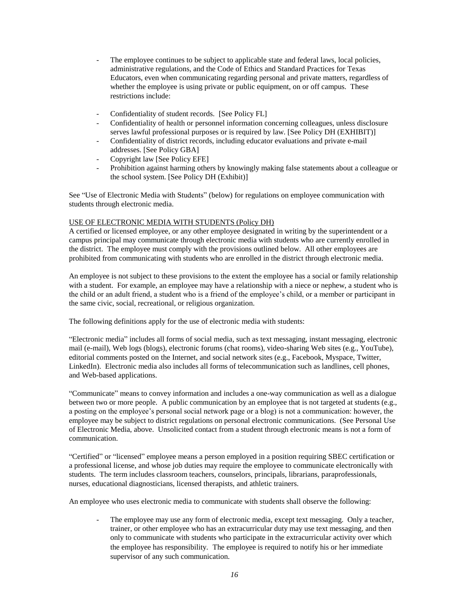- The employee continues to be subject to applicable state and federal laws, local policies, administrative regulations, and the Code of Ethics and Standard Practices for Texas Educators, even when communicating regarding personal and private matters, regardless of whether the employee is using private or public equipment, on or off campus. These restrictions include:
- Confidentiality of student records. [See Policy FL]
- Confidentiality of health or personnel information concerning colleagues, unless disclosure serves lawful professional purposes or is required by law. [See Policy DH (EXHIBIT)]
- Confidentiality of district records, including educator evaluations and private e-mail addresses. [See Policy GBA]
- Copyright law [See Policy EFE]
- Prohibition against harming others by knowingly making false statements about a colleague or the school system. [See Policy DH (Exhibit)]

See "Use of Electronic Media with Students" (below) for regulations on employee communication with students through electronic media.

# USE OF ELECTRONIC MEDIA WITH STUDENTS (Policy DH)

A certified or licensed employee, or any other employee designated in writing by the superintendent or a campus principal may communicate through electronic media with students who are currently enrolled in the district. The employee must comply with the provisions outlined below. All other employees are prohibited from communicating with students who are enrolled in the district through electronic media.

An employee is not subject to these provisions to the extent the employee has a social or family relationship with a student. For example, an employee may have a relationship with a niece or nephew, a student who is the child or an adult friend, a student who is a friend of the employee's child, or a member or participant in the same civic, social, recreational, or religious organization.

The following definitions apply for the use of electronic media with students:

"Electronic media" includes all forms of social media, such as text messaging, instant messaging, electronic mail (e-mail), Web logs (blogs), electronic forums (chat rooms), video-sharing Web sites (e.g., YouTube), editorial comments posted on the Internet, and social network sites (e.g., Facebook, Myspace, Twitter, LinkedIn). Electronic media also includes all forms of telecommunication such as landlines, cell phones, and Web-based applications.

"Communicate" means to convey information and includes a one-way communication as well as a dialogue between two or more people. A public communication by an employee that is not targeted at students (e.g., a posting on the employee's personal social network page or a blog) is not a communication: however, the employee may be subject to district regulations on personal electronic communications. (See Personal Use of Electronic Media, above. Unsolicited contact from a student through electronic means is not a form of communication.

"Certified" or "licensed" employee means a person employed in a position requiring SBEC certification or a professional license, and whose job duties may require the employee to communicate electronically with students. The term includes classroom teachers, counselors, principals, librarians, paraprofessionals, nurses, educational diagnosticians, licensed therapists, and athletic trainers.

An employee who uses electronic media to communicate with students shall observe the following:

The employee may use any form of electronic media, except text messaging. Only a teacher, trainer, or other employee who has an extracurricular duty may use text messaging, and then only to communicate with students who participate in the extracurricular activity over which the employee has responsibility. The employee is required to notify his or her immediate supervisor of any such communication.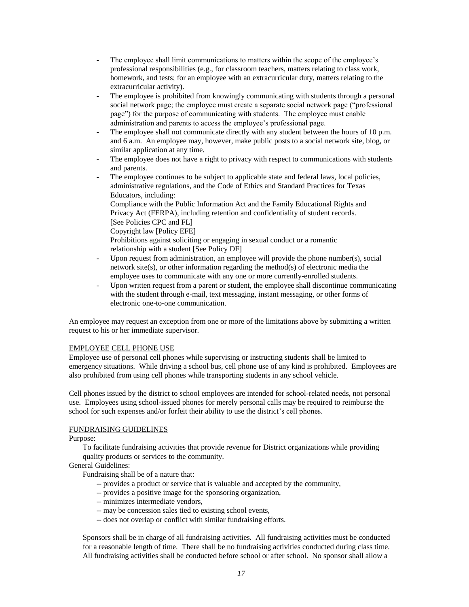- The employee shall limit communications to matters within the scope of the employee's professional responsibilities (e.g., for classroom teachers, matters relating to class work, homework, and tests; for an employee with an extracurricular duty, matters relating to the extracurricular activity).
- The employee is prohibited from knowingly communicating with students through a personal social network page; the employee must create a separate social network page ("professional page") for the purpose of communicating with students. The employee must enable administration and parents to access the employee's professional page.
- The employee shall not communicate directly with any student between the hours of 10 p.m. and 6 a.m. An employee may, however, make public posts to a social network site, blog, or similar application at any time.
- The employee does not have a right to privacy with respect to communications with students and parents.
- The employee continues to be subject to applicable state and federal laws, local policies, administrative regulations, and the Code of Ethics and Standard Practices for Texas Educators, including:
	- Compliance with the Public Information Act and the Family Educational Rights and Privacy Act (FERPA), including retention and confidentiality of student records. [See Policies CPC and FL]
	- Copyright law [Policy EFE]
	- Prohibitions against soliciting or engaging in sexual conduct or a romantic relationship with a student [See Policy DF]
- Upon request from administration, an employee will provide the phone number(s), social network site(s), or other information regarding the method(s) of electronic media the employee uses to communicate with any one or more currently-enrolled students.
- Upon written request from a parent or student, the employee shall discontinue communicating with the student through e-mail, text messaging, instant messaging, or other forms of electronic one-to-one communication.

An employee may request an exception from one or more of the limitations above by submitting a written request to his or her immediate supervisor.

#### EMPLOYEE CELL PHONE USE

Employee use of personal cell phones while supervising or instructing students shall be limited to emergency situations. While driving a school bus, cell phone use of any kind is prohibited. Employees are also prohibited from using cell phones while transporting students in any school vehicle.

Cell phones issued by the district to school employees are intended for school-related needs, not personal use. Employees using school-issued phones for merely personal calls may be required to reimburse the school for such expenses and/or forfeit their ability to use the district's cell phones.

#### FUNDRAISING GUIDELINES

#### Purpose:

To facilitate fundraising activities that provide revenue for District organizations while providing quality products or services to the community.

# General Guidelines:

Fundraising shall be of a nature that:

- -- provides a product or service that is valuable and accepted by the community,
- -- provides a positive image for the sponsoring organization,
- -- minimizes intermediate vendors,
- -- may be concession sales tied to existing school events,
- -- does not overlap or conflict with similar fundraising efforts.

Sponsors shall be in charge of all fundraising activities. All fundraising activities must be conducted for a reasonable length of time. There shall be no fundraising activities conducted during class time. All fundraising activities shall be conducted before school or after school. No sponsor shall allow a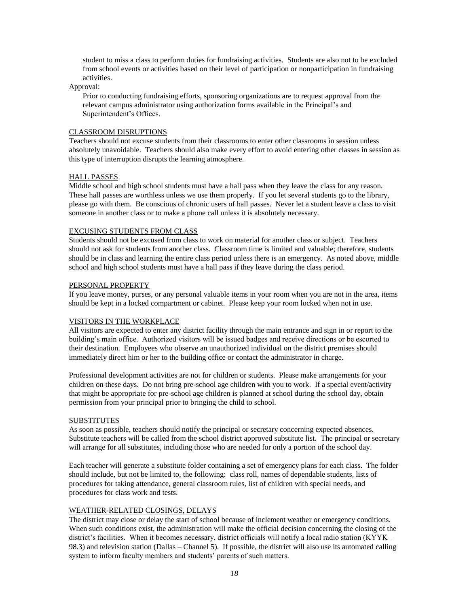student to miss a class to perform duties for fundraising activities. Students are also not to be excluded from school events or activities based on their level of participation or nonparticipation in fundraising activities.

Approval:

Prior to conducting fundraising efforts, sponsoring organizations are to request approval from the relevant campus administrator using authorization forms available in the Principal's and Superintendent's Offices.

#### CLASSROOM DISRUPTIONS

Teachers should not excuse students from their classrooms to enter other classrooms in session unless absolutely unavoidable. Teachers should also make every effort to avoid entering other classes in session as this type of interruption disrupts the learning atmosphere.

#### HALL PASSES

Middle school and high school students must have a hall pass when they leave the class for any reason. These hall passes are worthless unless we use them properly. If you let several students go to the library, please go with them. Be conscious of chronic users of hall passes. Never let a student leave a class to visit someone in another class or to make a phone call unless it is absolutely necessary.

#### EXCUSING STUDENTS FROM CLASS

Students should not be excused from class to work on material for another class or subject. Teachers should not ask for students from another class. Classroom time is limited and valuable; therefore, students should be in class and learning the entire class period unless there is an emergency. As noted above, middle school and high school students must have a hall pass if they leave during the class period.

#### PERSONAL PROPERTY

If you leave money, purses, or any personal valuable items in your room when you are not in the area, items should be kept in a locked compartment or cabinet. Please keep your room locked when not in use.

### VISITORS IN THE WORKPLACE

All visitors are expected to enter any district facility through the main entrance and sign in or report to the building's main office. Authorized visitors will be issued badges and receive directions or be escorted to their destination. Employees who observe an unauthorized individual on the district premises should immediately direct him or her to the building office or contact the administrator in charge.

Professional development activities are not for children or students. Please make arrangements for your children on these days. Do not bring pre-school age children with you to work. If a special event/activity that might be appropriate for pre-school age children is planned at school during the school day, obtain permission from your principal prior to bringing the child to school.

#### SUBSTITUTES

As soon as possible, teachers should notify the principal or secretary concerning expected absences. Substitute teachers will be called from the school district approved substitute list. The principal or secretary will arrange for all substitutes, including those who are needed for only a portion of the school day.

Each teacher will generate a substitute folder containing a set of emergency plans for each class. The folder should include, but not be limited to, the following: class roll, names of dependable students, lists of procedures for taking attendance, general classroom rules, list of children with special needs, and procedures for class work and tests.

### WEATHER-RELATED CLOSINGS, DELAYS

The district may close or delay the start of school because of inclement weather or emergency conditions. When such conditions exist, the administration will make the official decision concerning the closing of the district's facilities. When it becomes necessary, district officials will notify a local radio station (KYYK – 98.3) and television station (Dallas – Channel 5). If possible, the district will also use its automated calling system to inform faculty members and students' parents of such matters.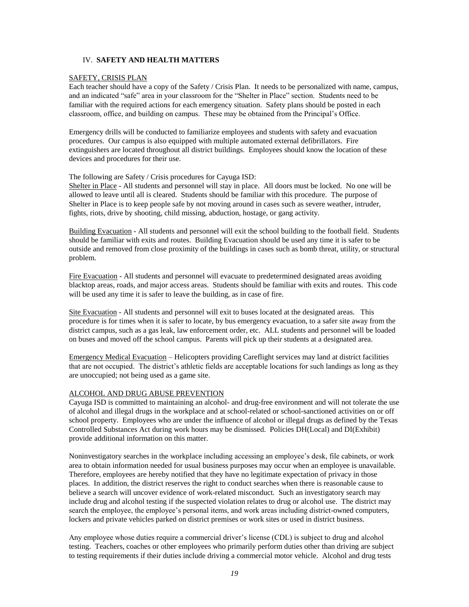### IV. **SAFETY AND HEALTH MATTERS**

### SAFETY, CRISIS PLAN

Each teacher should have a copy of the Safety / Crisis Plan. It needs to be personalized with name, campus, and an indicated "safe" area in your classroom for the "Shelter in Place" section. Students need to be familiar with the required actions for each emergency situation. Safety plans should be posted in each classroom, office, and building on campus. These may be obtained from the Principal's Office.

Emergency drills will be conducted to familiarize employees and students with safety and evacuation procedures. Our campus is also equipped with multiple automated external defibrillators. Fire extinguishers are located throughout all district buildings. Employees should know the location of these devices and procedures for their use.

### The following are Safety / Crisis procedures for Cayuga ISD:

Shelter in Place - All students and personnel will stay in place. All doors must be locked. No one will be allowed to leave until all is cleared. Students should be familiar with this procedure. The purpose of Shelter in Place is to keep people safe by not moving around in cases such as severe weather, intruder, fights, riots, drive by shooting, child missing, abduction, hostage, or gang activity.

Building Evacuation - All students and personnel will exit the school building to the football field. Students should be familiar with exits and routes. Building Evacuation should be used any time it is safer to be outside and removed from close proximity of the buildings in cases such as bomb threat, utility, or structural problem.

Fire Evacuation - All students and personnel will evacuate to predetermined designated areas avoiding blacktop areas, roads, and major access areas. Students should be familiar with exits and routes. This code will be used any time it is safer to leave the building, as in case of fire.

Site Evacuation - All students and personnel will exit to buses located at the designated areas. This procedure is for times when it is safer to locate, by bus emergency evacuation, to a safer site away from the district campus, such as a gas leak, law enforcement order, etc. ALL students and personnel will be loaded on buses and moved off the school campus. Parents will pick up their students at a designated area.

Emergency Medical Evacuation – Helicopters providing Careflight services may land at district facilities that are not occupied. The district's athletic fields are acceptable locations for such landings as long as they are unoccupied; not being used as a game site.

# ALCOHOL AND DRUG ABUSE PREVENTION

Cayuga ISD is committed to maintaining an alcohol- and drug-free environment and will not tolerate the use of alcohol and illegal drugs in the workplace and at school-related or school-sanctioned activities on or off school property. Employees who are under the influence of alcohol or illegal drugs as defined by the Texas Controlled Substances Act during work hours may be dismissed. Policies DH(Local) and DI(Exhibit) provide additional information on this matter.

Noninvestigatory searches in the workplace including accessing an employee's desk, file cabinets, or work area to obtain information needed for usual business purposes may occur when an employee is unavailable. Therefore, employees are hereby notified that they have no legitimate expectation of privacy in those places. In addition, the district reserves the right to conduct searches when there is reasonable cause to believe a search will uncover evidence of work-related misconduct. Such an investigatory search may include drug and alcohol testing if the suspected violation relates to drug or alcohol use. The district may search the employee, the employee's personal items, and work areas including district-owned computers, lockers and private vehicles parked on district premises or work sites or used in district business.

Any employee whose duties require a commercial driver's license (CDL) is subject to drug and alcohol testing. Teachers, coaches or other employees who primarily perform duties other than driving are subject to testing requirements if their duties include driving a commercial motor vehicle. Alcohol and drug tests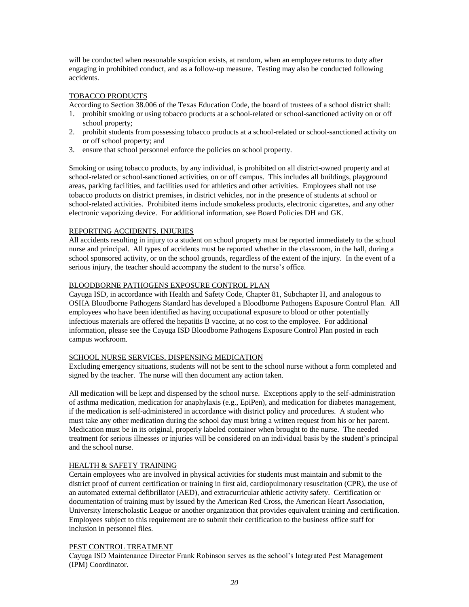will be conducted when reasonable suspicion exists, at random, when an employee returns to duty after engaging in prohibited conduct, and as a follow-up measure. Testing may also be conducted following accidents.

### TOBACCO PRODUCTS

According to Section 38.006 of the Texas Education Code, the board of trustees of a school district shall:

- 1. prohibit smoking or using tobacco products at a school-related or school-sanctioned activity on or off school property;
- 2. prohibit students from possessing tobacco products at a school-related or school-sanctioned activity on or off school property; and
- 3. ensure that school personnel enforce the policies on school property.

Smoking or using tobacco products, by any individual, is prohibited on all district-owned property and at school-related or school-sanctioned activities, on or off campus. This includes all buildings, playground areas, parking facilities, and facilities used for athletics and other activities. Employees shall not use tobacco products on district premises, in district vehicles, nor in the presence of students at school or school-related activities. Prohibited items include smokeless products, electronic cigarettes, and any other electronic vaporizing device. For additional information, see Board Policies DH and GK.

### REPORTING ACCIDENTS, INJURIES

All accidents resulting in injury to a student on school property must be reported immediately to the school nurse and principal. All types of accidents must be reported whether in the classroom, in the hall, during a school sponsored activity, or on the school grounds, regardless of the extent of the injury. In the event of a serious injury, the teacher should accompany the student to the nurse's office.

### BLOODBORNE PATHOGENS EXPOSURE CONTROL PLAN

Cayuga ISD, in accordance with Health and Safety Code, Chapter 81, Subchapter H, and analogous to OSHA Bloodborne Pathogens Standard has developed a Bloodborne Pathogens Exposure Control Plan. All employees who have been identified as having occupational exposure to blood or other potentially infectious materials are offered the hepatitis B vaccine, at no cost to the employee. For additional information, please see the Cayuga ISD Bloodborne Pathogens Exposure Control Plan posted in each campus workroom.

### SCHOOL NURSE SERVICES, DISPENSING MEDICATION

Excluding emergency situations, students will not be sent to the school nurse without a form completed and signed by the teacher. The nurse will then document any action taken.

All medication will be kept and dispensed by the school nurse. Exceptions apply to the self-administration of asthma medication, medication for anaphylaxis (e.g., EpiPen), and medication for diabetes management, if the medication is self-administered in accordance with district policy and procedures. A student who must take any other medication during the school day must bring a written request from his or her parent. Medication must be in its original, properly labeled container when brought to the nurse. The needed treatment for serious illnesses or injuries will be considered on an individual basis by the student's principal and the school nurse.

# HEALTH & SAFETY TRAINING

Certain employees who are involved in physical activities for students must maintain and submit to the district proof of current certification or training in first aid, cardiopulmonary resuscitation (CPR), the use of an automated external defibrillator (AED), and extracurricular athletic activity safety. Certification or documentation of training must by issued by the American Red Cross, the American Heart Association, University Interscholastic League or another organization that provides equivalent training and certification. Employees subject to this requirement are to submit their certification to the business office staff for inclusion in personnel files.

### PEST CONTROL TREATMENT

Cayuga ISD Maintenance Director Frank Robinson serves as the school's Integrated Pest Management (IPM) Coordinator.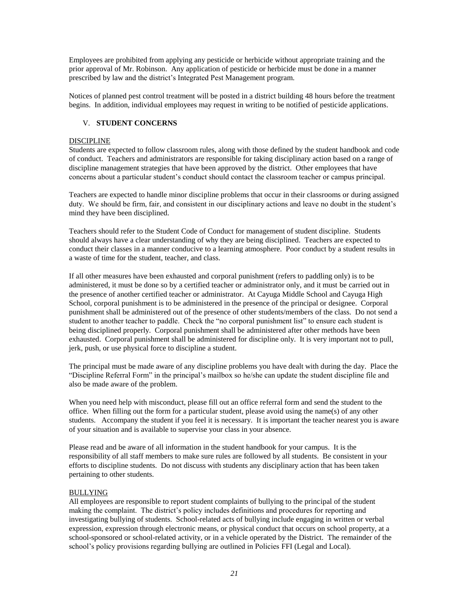Employees are prohibited from applying any pesticide or herbicide without appropriate training and the prior approval of Mr. Robinson. Any application of pesticide or herbicide must be done in a manner prescribed by law and the district's Integrated Pest Management program.

Notices of planned pest control treatment will be posted in a district building 48 hours before the treatment begins. In addition, individual employees may request in writing to be notified of pesticide applications.

# V. **STUDENT CONCERNS**

### DISCIPLINE

Students are expected to follow classroom rules, along with those defined by the student handbook and code of conduct. Teachers and administrators are responsible for taking disciplinary action based on a range of discipline management strategies that have been approved by the district. Other employees that have concerns about a particular student's conduct should contact the classroom teacher or campus principal.

Teachers are expected to handle minor discipline problems that occur in their classrooms or during assigned duty. We should be firm, fair, and consistent in our disciplinary actions and leave no doubt in the student's mind they have been disciplined.

Teachers should refer to the Student Code of Conduct for management of student discipline. Students should always have a clear understanding of why they are being disciplined. Teachers are expected to conduct their classes in a manner conducive to a learning atmosphere. Poor conduct by a student results in a waste of time for the student, teacher, and class.

If all other measures have been exhausted and corporal punishment (refers to paddling only) is to be administered, it must be done so by a certified teacher or administrator only, and it must be carried out in the presence of another certified teacher or administrator. At Cayuga Middle School and Cayuga High School, corporal punishment is to be administered in the presence of the principal or designee. Corporal punishment shall be administered out of the presence of other students/members of the class. Do not send a student to another teacher to paddle. Check the "no corporal punishment list" to ensure each student is being disciplined properly. Corporal punishment shall be administered after other methods have been exhausted. Corporal punishment shall be administered for discipline only. It is very important not to pull, jerk, push, or use physical force to discipline a student.

The principal must be made aware of any discipline problems you have dealt with during the day. Place the "Discipline Referral Form" in the principal's mailbox so he/she can update the student discipline file and also be made aware of the problem.

When you need help with misconduct, please fill out an office referral form and send the student to the office. When filling out the form for a particular student, please avoid using the name(s) of any other students. Accompany the student if you feel it is necessary. It is important the teacher nearest you is aware of your situation and is available to supervise your class in your absence.

Please read and be aware of all information in the student handbook for your campus. It is the responsibility of all staff members to make sure rules are followed by all students. Be consistent in your efforts to discipline students. Do not discuss with students any disciplinary action that has been taken pertaining to other students.

# BULLYING

All employees are responsible to report student complaints of bullying to the principal of the student making the complaint. The district's policy includes definitions and procedures for reporting and investigating bullying of students. School-related acts of bullying include engaging in written or verbal expression, expression through electronic means, or physical conduct that occurs on school property, at a school-sponsored or school-related activity, or in a vehicle operated by the District. The remainder of the school's policy provisions regarding bullying are outlined in Policies FFI (Legal and Local).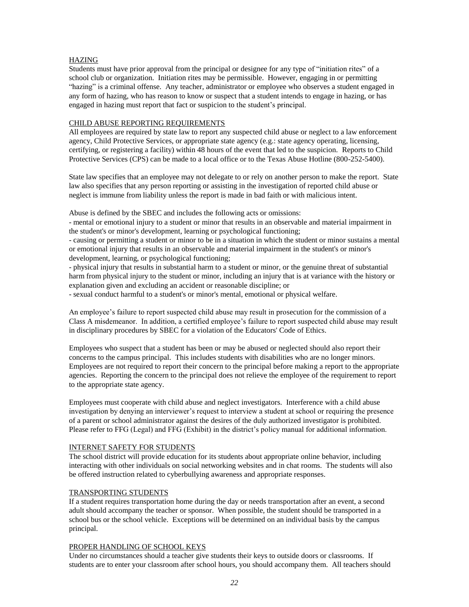# HAZING

Students must have prior approval from the principal or designee for any type of "initiation rites" of a school club or organization. Initiation rites may be permissible. However, engaging in or permitting "hazing" is a criminal offense. Any teacher, administrator or employee who observes a student engaged in any form of hazing, who has reason to know or suspect that a student intends to engage in hazing, or has engaged in hazing must report that fact or suspicion to the student's principal.

# CHILD ABUSE REPORTING REQUIREMENTS

All employees are required by state law to report any suspected child abuse or neglect to a law enforcement agency, Child Protective Services, or appropriate state agency (e.g.: state agency operating, licensing, certifying, or registering a facility) within 48 hours of the event that led to the suspicion. Reports to Child Protective Services (CPS) can be made to a local office or to the Texas Abuse Hotline (800-252-5400).

State law specifies that an employee may not delegate to or rely on another person to make the report. State law also specifies that any person reporting or assisting in the investigation of reported child abuse or neglect is immune from liability unless the report is made in bad faith or with malicious intent.

Abuse is defined by the SBEC and includes the following acts or omissions:

- mental or emotional injury to a student or minor that results in an observable and material impairment in the student's or minor's development, learning or psychological functioning;

- causing or permitting a student or minor to be in a situation in which the student or minor sustains a mental or emotional injury that results in an observable and material impairment in the student's or minor's development, learning, or psychological functioning;

- physical injury that results in substantial harm to a student or minor, or the genuine threat of substantial harm from physical injury to the student or minor, including an injury that is at variance with the history or explanation given and excluding an accident or reasonable discipline; or

- sexual conduct harmful to a student's or minor's mental, emotional or physical welfare.

An employee's failure to report suspected child abuse may result in prosecution for the commission of a Class A misdemeanor. In addition, a certified employee's failure to report suspected child abuse may result in disciplinary procedures by SBEC for a violation of the Educators' Code of Ethics.

Employees who suspect that a student has been or may be abused or neglected should also report their concerns to the campus principal. This includes students with disabilities who are no longer minors. Employees are not required to report their concern to the principal before making a report to the appropriate agencies. Reporting the concern to the principal does not relieve the employee of the requirement to report to the appropriate state agency.

Employees must cooperate with child abuse and neglect investigators. Interference with a child abuse investigation by denying an interviewer's request to interview a student at school or requiring the presence of a parent or school administrator against the desires of the duly authorized investigator is prohibited. Please refer to FFG (Legal) and FFG (Exhibit) in the district's policy manual for additional information.

#### INTERNET SAFETY FOR STUDENTS

The school district will provide education for its students about appropriate online behavior, including interacting with other individuals on social networking websites and in chat rooms. The students will also be offered instruction related to cyberbullying awareness and appropriate responses.

# TRANSPORTING STUDENTS

If a student requires transportation home during the day or needs transportation after an event, a second adult should accompany the teacher or sponsor. When possible, the student should be transported in a school bus or the school vehicle. Exceptions will be determined on an individual basis by the campus principal.

# PROPER HANDLING OF SCHOOL KEYS

Under no circumstances should a teacher give students their keys to outside doors or classrooms. If students are to enter your classroom after school hours, you should accompany them. All teachers should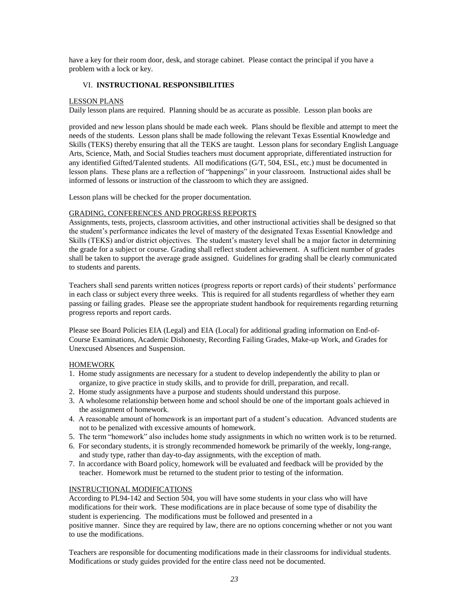have a key for their room door, desk, and storage cabinet. Please contact the principal if you have a problem with a lock or key.

### VI. **INSTRUCTIONAL RESPONSIBILITIES**

### LESSON PLANS

Daily lesson plans are required. Planning should be as accurate as possible. Lesson plan books are

provided and new lesson plans should be made each week. Plans should be flexible and attempt to meet the needs of the students. Lesson plans shall be made following the relevant Texas Essential Knowledge and Skills (TEKS) thereby ensuring that all the TEKS are taught. Lesson plans for secondary English Language Arts, Science, Math, and Social Studies teachers must document appropriate, differentiated instruction for any identified Gifted/Talented students. All modifications (G/T, 504, ESL, etc.) must be documented in lesson plans. These plans are a reflection of "happenings" in your classroom. Instructional aides shall be informed of lessons or instruction of the classroom to which they are assigned.

Lesson plans will be checked for the proper documentation.

### GRADING, CONFERENCES AND PROGRESS REPORTS

Assignments, tests, projects, classroom activities, and other instructional activities shall be designed so that the student's performance indicates the level of mastery of the designated Texas Essential Knowledge and Skills (TEKS) and/or district objectives. The student's mastery level shall be a major factor in determining the grade for a subject or course. Grading shall reflect student achievement. A sufficient number of grades shall be taken to support the average grade assigned. Guidelines for grading shall be clearly communicated to students and parents.

Teachers shall send parents written notices (progress reports or report cards) of their students' performance in each class or subject every three weeks. This is required for all students regardless of whether they earn passing or failing grades. Please see the appropriate student handbook for requirements regarding returning progress reports and report cards.

Please see Board Policies EIA (Legal) and EIA (Local) for additional grading information on End-of-Course Examinations, Academic Dishonesty, Recording Failing Grades, Make-up Work, and Grades for Unexcused Absences and Suspension.

# **HOMEWORK**

- 1. Home study assignments are necessary for a student to develop independently the ability to plan or organize, to give practice in study skills, and to provide for drill, preparation, and recall.
- 2. Home study assignments have a purpose and students should understand this purpose.
- 3. A wholesome relationship between home and school should be one of the important goals achieved in the assignment of homework.
- 4. A reasonable amount of homework is an important part of a student's education. Advanced students are not to be penalized with excessive amounts of homework.
- 5. The term "homework" also includes home study assignments in which no written work is to be returned.
- 6. For secondary students, it is strongly recommended homework be primarily of the weekly, long-range, and study type, rather than day-to-day assignments, with the exception of math.
- 7. In accordance with Board policy, homework will be evaluated and feedback will be provided by the teacher. Homework must be returned to the student prior to testing of the information.

# INSTRUCTIONAL MODIFICATIONS

According to PL94-142 and Section 504, you will have some students in your class who will have modifications for their work. These modifications are in place because of some type of disability the student is experiencing. The modifications must be followed and presented in a positive manner. Since they are required by law, there are no options concerning whether or not you want to use the modifications.

Teachers are responsible for documenting modifications made in their classrooms for individual students. Modifications or study guides provided for the entire class need not be documented.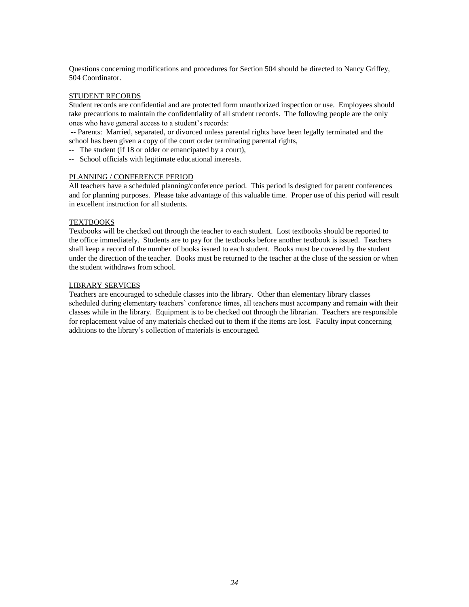Questions concerning modifications and procedures for Section 504 should be directed to Nancy Griffey, 504 Coordinator.

### STUDENT RECORDS

Student records are confidential and are protected form unauthorized inspection or use. Employees should take precautions to maintain the confidentiality of all student records. The following people are the only ones who have general access to a student's records:

-- Parents: Married, separated, or divorced unless parental rights have been legally terminated and the school has been given a copy of the court order terminating parental rights,

- -- The student (if 18 or older or emancipated by a court),
- -- School officials with legitimate educational interests.

### PLANNING / CONFERENCE PERIOD

All teachers have a scheduled planning/conference period. This period is designed for parent conferences and for planning purposes. Please take advantage of this valuable time. Proper use of this period will result in excellent instruction for all students.

### **TEXTBOOKS**

Textbooks will be checked out through the teacher to each student. Lost textbooks should be reported to the office immediately. Students are to pay for the textbooks before another textbook is issued. Teachers shall keep a record of the number of books issued to each student. Books must be covered by the student under the direction of the teacher. Books must be returned to the teacher at the close of the session or when the student withdraws from school.

### LIBRARY SERVICES

Teachers are encouraged to schedule classes into the library. Other than elementary library classes scheduled during elementary teachers' conference times, all teachers must accompany and remain with their classes while in the library. Equipment is to be checked out through the librarian. Teachers are responsible for replacement value of any materials checked out to them if the items are lost. Faculty input concerning additions to the library's collection of materials is encouraged.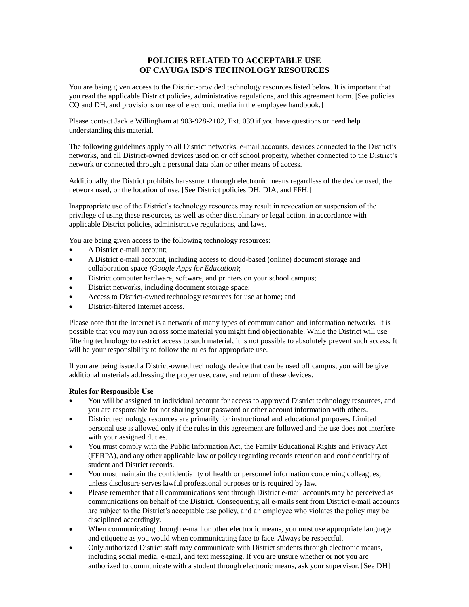# **POLICIES RELATED TO ACCEPTABLE USE OF CAYUGA ISD'S TECHNOLOGY RESOURCES**

You are being given access to the District-provided technology resources listed below. It is important that you read the applicable District policies, administrative regulations, and this agreement form. [See policies CQ and DH, and provisions on use of electronic media in the employee handbook.]

Please contact Jackie Willingham at 903-928-2102, Ext. 039 if you have questions or need help understanding this material.

The following guidelines apply to all District networks, e-mail accounts, devices connected to the District's networks, and all District-owned devices used on or off school property, whether connected to the District's network or connected through a personal data plan or other means of access.

Additionally, the District prohibits harassment through electronic means regardless of the device used, the network used, or the location of use. [See District policies DH, DIA, and FFH.]

Inappropriate use of the District's technology resources may result in revocation or suspension of the privilege of using these resources, as well as other disciplinary or legal action, in accordance with applicable District policies, administrative regulations, and laws.

You are being given access to the following technology resources:

- A District e-mail account;
- A District e-mail account, including access to cloud-based (online) document storage and collaboration space *(Google Apps for Education)*;
- District computer hardware, software, and printers on your school campus;
- District networks, including document storage space;
- Access to District-owned technology resources for use at home; and
- District-filtered Internet access.

Please note that the Internet is a network of many types of communication and information networks. It is possible that you may run across some material you might find objectionable. While the District will use filtering technology to restrict access to such material, it is not possible to absolutely prevent such access. It will be your responsibility to follow the rules for appropriate use.

If you are being issued a District-owned technology device that can be used off campus, you will be given additional materials addressing the proper use, care, and return of these devices.

# **Rules for Responsible Use**

- You will be assigned an individual account for access to approved District technology resources, and you are responsible for not sharing your password or other account information with others.
- District technology resources are primarily for instructional and educational purposes. Limited personal use is allowed only if the rules in this agreement are followed and the use does not interfere with your assigned duties.
- You must comply with the Public Information Act, the Family Educational Rights and Privacy Act (FERPA), and any other applicable law or policy regarding records retention and confidentiality of student and District records.
- You must maintain the confidentiality of health or personnel information concerning colleagues, unless disclosure serves lawful professional purposes or is required by law.
- Please remember that all communications sent through District e-mail accounts may be perceived as communications on behalf of the District. Consequently, all e-mails sent from District e-mail accounts are subject to the District's acceptable use policy, and an employee who violates the policy may be disciplined accordingly.
- When communicating through e-mail or other electronic means, you must use appropriate language and etiquette as you would when communicating face to face. Always be respectful.
- Only authorized District staff may communicate with District students through electronic means, including social media, e-mail, and text messaging. If you are unsure whether or not you are authorized to communicate with a student through electronic means, ask your supervisor. [See DH]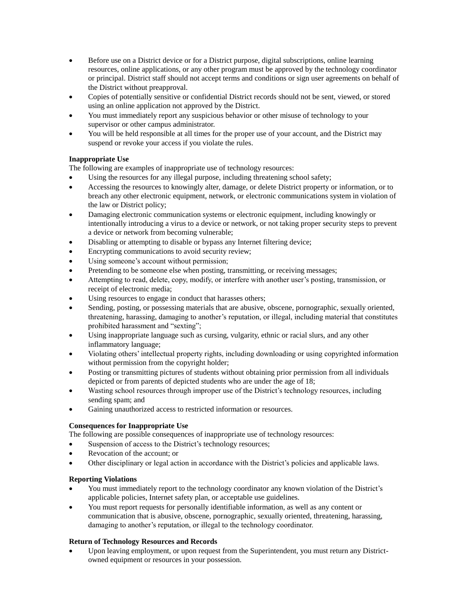- Before use on a District device or for a District purpose, digital subscriptions, online learning resources, online applications, or any other program must be approved by the technology coordinator or principal. District staff should not accept terms and conditions or sign user agreements on behalf of the District without preapproval.
- Copies of potentially sensitive or confidential District records should not be sent, viewed, or stored using an online application not approved by the District.
- You must immediately report any suspicious behavior or other misuse of technology to your supervisor or other campus administrator.
- You will be held responsible at all times for the proper use of your account, and the District may suspend or revoke your access if you violate the rules.

# **Inappropriate Use**

The following are examples of inappropriate use of technology resources:

- Using the resources for any illegal purpose, including threatening school safety;
- Accessing the resources to knowingly alter, damage, or delete District property or information, or to breach any other electronic equipment, network, or electronic communications system in violation of the law or District policy;
- Damaging electronic communication systems or electronic equipment, including knowingly or intentionally introducing a virus to a device or network, or not taking proper security steps to prevent a device or network from becoming vulnerable;
- Disabling or attempting to disable or bypass any Internet filtering device;
- Encrypting communications to avoid security review;
- Using someone's account without permission;
- Pretending to be someone else when posting, transmitting, or receiving messages;
- Attempting to read, delete, copy, modify, or interfere with another user's posting, transmission, or receipt of electronic media;
- Using resources to engage in conduct that harasses others;
- Sending, posting, or possessing materials that are abusive, obscene, pornographic, sexually oriented, threatening, harassing, damaging to another's reputation, or illegal, including material that constitutes prohibited harassment and "sexting";
- Using inappropriate language such as cursing, vulgarity, ethnic or racial slurs, and any other inflammatory language;
- Violating others' intellectual property rights, including downloading or using copyrighted information without permission from the copyright holder;
- Posting or transmitting pictures of students without obtaining prior permission from all individuals depicted or from parents of depicted students who are under the age of 18;
- Wasting school resources through improper use of the District's technology resources, including sending spam; and
- Gaining unauthorized access to restricted information or resources.

# **Consequences for Inappropriate Use**

The following are possible consequences of inappropriate use of technology resources:

- Suspension of access to the District's technology resources;
- Revocation of the account; or
- Other disciplinary or legal action in accordance with the District's policies and applicable laws.

# **Reporting Violations**

- You must immediately report to the technology coordinator any known violation of the District's applicable policies, Internet safety plan, or acceptable use guidelines.
- You must report requests for personally identifiable information, as well as any content or communication that is abusive, obscene, pornographic, sexually oriented, threatening, harassing, damaging to another's reputation, or illegal to the technology coordinator.

# **Return of Technology Resources and Records**

 Upon leaving employment, or upon request from the Superintendent, you must return any Districtowned equipment or resources in your possession.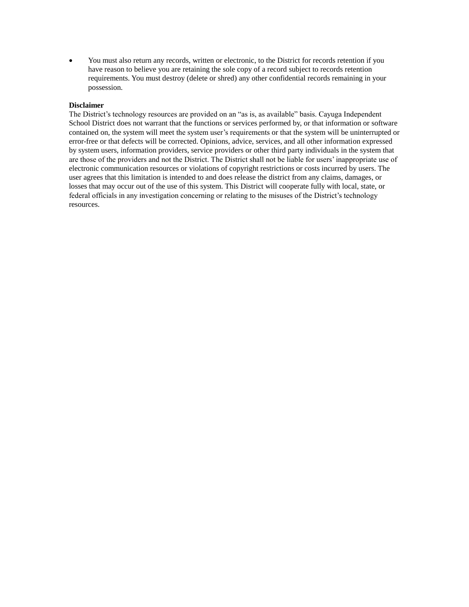You must also return any records, written or electronic, to the District for records retention if you have reason to believe you are retaining the sole copy of a record subject to records retention requirements. You must destroy (delete or shred) any other confidential records remaining in your possession.

### **Disclaimer**

The District's technology resources are provided on an "as is, as available" basis. Cayuga Independent School District does not warrant that the functions or services performed by, or that information or software contained on, the system will meet the system user's requirements or that the system will be uninterrupted or error-free or that defects will be corrected. Opinions, advice, services, and all other information expressed by system users, information providers, service providers or other third party individuals in the system that are those of the providers and not the District. The District shall not be liable for users' inappropriate use of electronic communication resources or violations of copyright restrictions or costs incurred by users. The user agrees that this limitation is intended to and does release the district from any claims, damages, or losses that may occur out of the use of this system. This District will cooperate fully with local, state, or federal officials in any investigation concerning or relating to the misuses of the District's technology resources.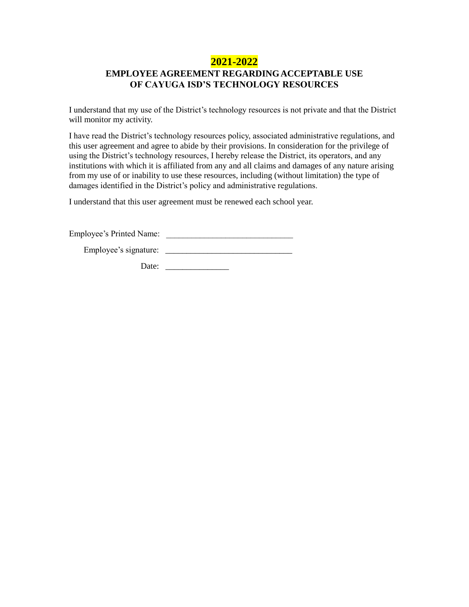# **2021-2022**

# **EMPLOYEE AGREEMENT REGARDINGACCEPTABLE USE OF CAYUGA ISD'S TECHNOLOGY RESOURCES**

I understand that my use of the District's technology resources is not private and that the District will monitor my activity.

I have read the District's technology resources policy, associated administrative regulations, and this user agreement and agree to abide by their provisions. In consideration for the privilege of using the District's technology resources, I hereby release the District, its operators, and any institutions with which it is affiliated from any and all claims and damages of any nature arising from my use of or inability to use these resources, including (without limitation) the type of damages identified in the District's policy and administrative regulations.

I understand that this user agreement must be renewed each school year.

Employee's Printed Name:

Employee's signature: \_\_\_\_\_\_\_\_\_\_\_\_\_\_\_\_\_\_\_\_\_\_\_\_\_\_\_\_\_\_

Date: \_\_\_\_\_\_\_\_\_\_\_\_\_\_\_